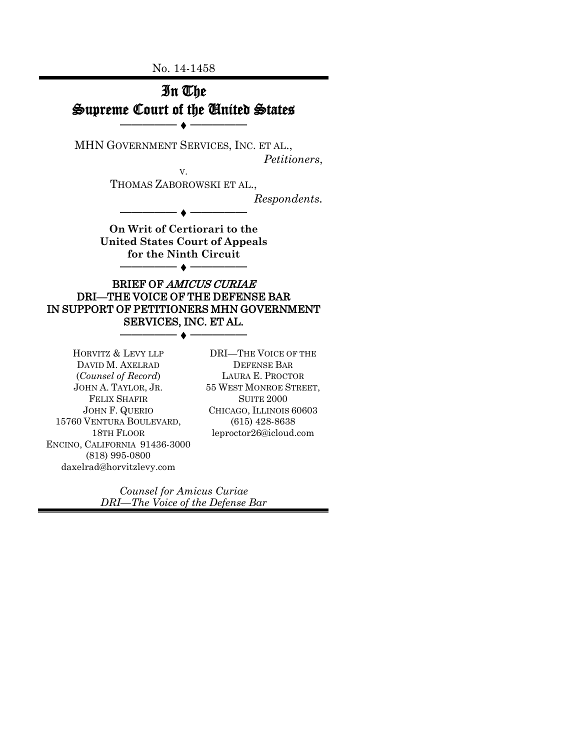No. 14-1458



JOHN F. QUERIO 15760 VENTURA BOULEVARD, 18TH FLOOR ENCINO, CALIFORNIA 91436-3000 (818) 995-0800 daxelrad@horvitzlevy.com

CHICAGO, ILLINOIS 60603 (615) 428-8638 leproctor26@icloud.com

*Counsel for Amicus Curiae DRI—The Voice of the Defense Bar*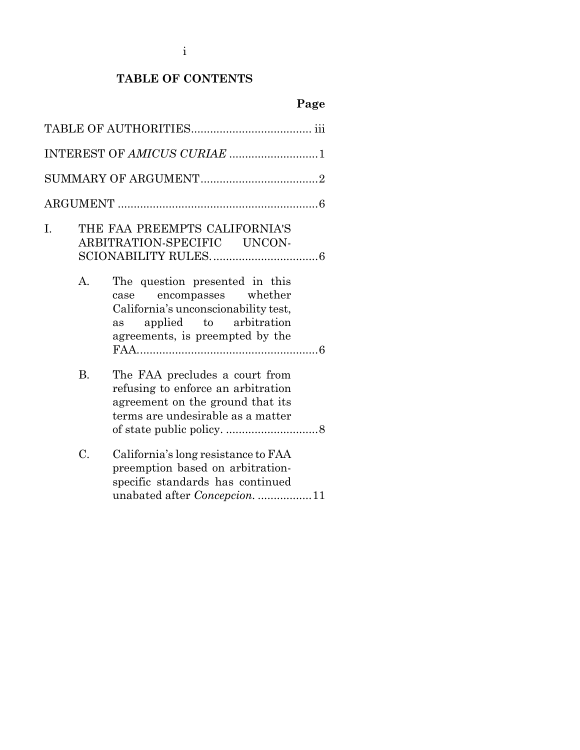i

## **TABLE OF CONTENTS**

# **Page**

|    |                | INTEREST OF AMICUS CURIAE 1                                                                                                                                              |
|----|----------------|--------------------------------------------------------------------------------------------------------------------------------------------------------------------------|
|    |                |                                                                                                                                                                          |
|    |                |                                                                                                                                                                          |
| Ī. |                | THE FAA PREEMPTS CALIFORNIA'S<br>ARBITRATION-SPECIFIC UNCON-                                                                                                             |
|    | $\mathbf{A}$ . | The question presented in this<br>encompasses whether<br>case<br>California's unconscionability test,<br>applied to arbitration<br>as<br>agreements, is preempted by the |
|    | <b>B.</b>      | The FAA precludes a court from<br>refusing to enforce an arbitration<br>agreement on the ground that its<br>terms are undesirable as a matter                            |
|    | C.             | California's long resistance to FAA<br>preemption based on arbitration-<br>specific standards has continued<br>unabated after Concepcion11                               |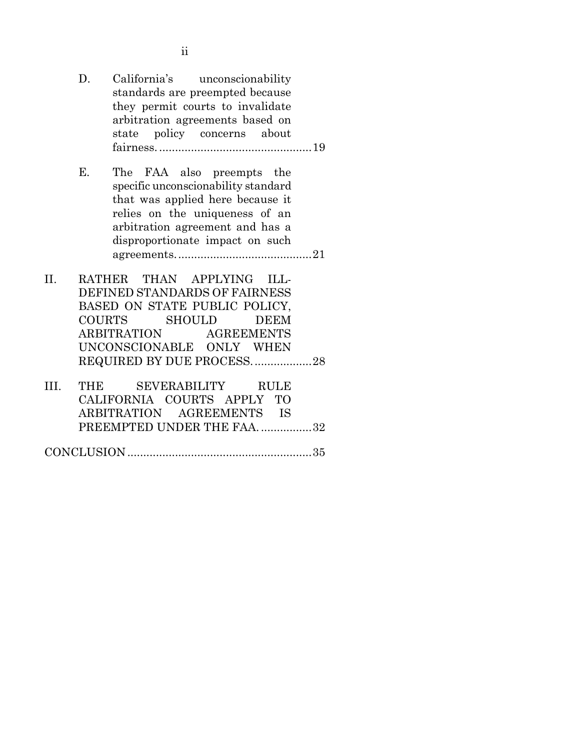D. California's unconscionability standards are preempted because they permit courts to invalidate arbitration agreements based on state policy concerns about fairness. ................................................19 E. The FAA also preempts the specific unconscionability standard that was applied here because it relies on the uniqueness of an

arbitration agreement and has a

ii

- disproportionate impact on such agreements...........................................21 II. RATHER THAN APPLYING ILL-DEFINED STANDARDS OF FAIRNESS BASED ON STATE PUBLIC POLICY, COURTS SHOULD DEEM ARBITRATION AGREEMENTS UNCONSCIONABLE ONLY WHEN
- REQUIRED BY DUE PROCESS...................28 III. THE SEVERABILITY RULE CALIFORNIA COURTS APPLY TO ARBITRATION AGREEMENTS IS PREEMPTED UNDER THE FAA. .................32

CONCLUSION ..........................................................35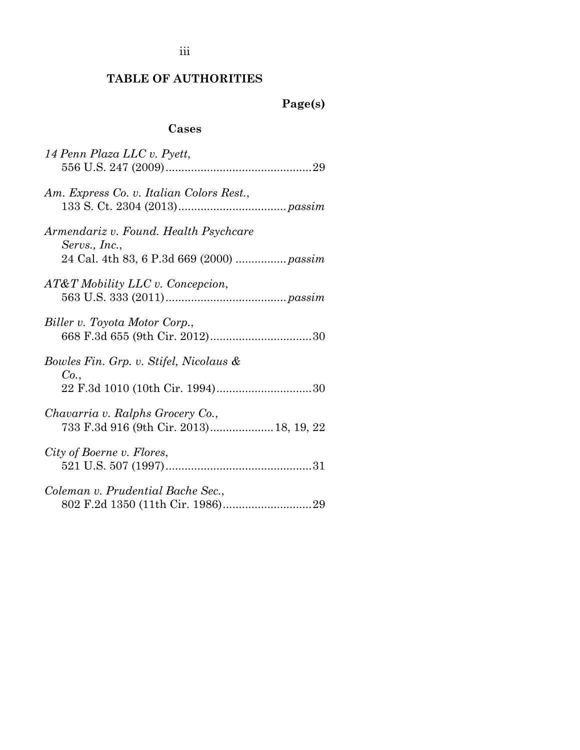iii

## **TABLE OF AUTHORITIES**

# **Page(s)**

### **Cases**

| 14 Penn Plaza LLC v. Pyett,                                                                         |
|-----------------------------------------------------------------------------------------------------|
| Am. Express Co. v. Italian Colors Rest.,                                                            |
| Armendariz v. Found. Health Psychcare<br>Servs., Inc.,<br>24 Cal. 4th 83, 6 P.3d 669 (2000)  passim |
| AT&T Mobility LLC v. Concepcion,                                                                    |
| Biller v. Toyota Motor Corp.,                                                                       |
| Bowles Fin. Grp. v. Stifel, Nicolaus &<br>Co.                                                       |
| Chavarria v. Ralphs Grocery Co.,<br>733 F.3d 916 (9th Cir. 2013) 18, 19, 22                         |
| City of Boerne v. Flores,                                                                           |
| Coleman v. Prudential Bache Sec.,                                                                   |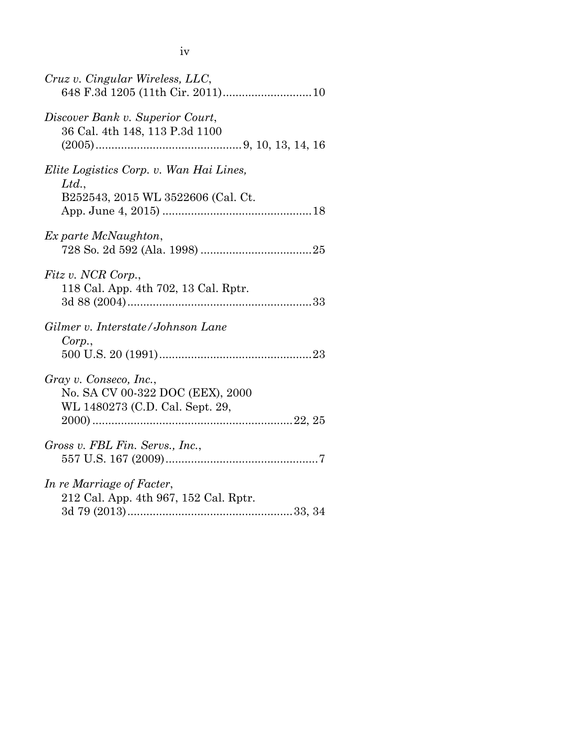| Cruz v. Cingular Wireless, LLC,                                                               |
|-----------------------------------------------------------------------------------------------|
| Discover Bank v. Superior Court,<br>36 Cal. 4th 148, 113 P.3d 1100                            |
| Elite Logistics Corp. v. Wan Hai Lines,<br>Ltd.<br>B252543, 2015 WL 3522606 (Cal. Ct.         |
| Ex parte McNaughton,                                                                          |
| Fitz v. NCR Corp.,<br>118 Cal. App. 4th 702, 13 Cal. Rptr.                                    |
| Gilmer v. Interstate/Johnson Lane<br>Corp.,                                                   |
| Gray v. Conseco, Inc.,<br>No. SA CV 00-322 DOC (EEX), 2000<br>WL 1480273 (C.D. Cal. Sept. 29, |
| Gross v. FBL Fin. Servs., Inc.,                                                               |
| In re Marriage of Facter,<br>212 Cal. App. 4th 967, 152 Cal. Rptr.                            |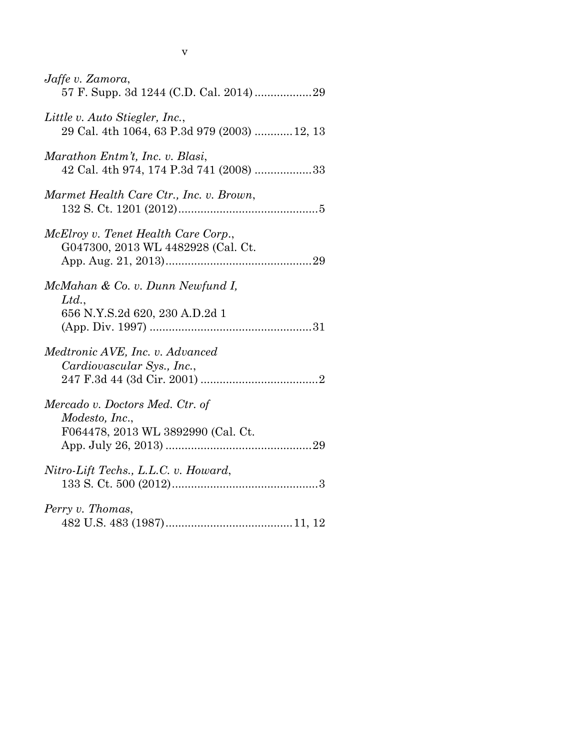| Jaffe v. Zamora,                                                                        |
|-----------------------------------------------------------------------------------------|
| Little v. Auto Stiegler, Inc.,<br>29 Cal. 4th 1064, 63 P.3d 979 (2003) 12, 13           |
| Marathon Entm't, Inc. v. Blasi,<br>42 Cal. 4th 974, 174 P.3d 741 (2008) 33              |
| Marmet Health Care Ctr., Inc. v. Brown,                                                 |
| McElroy v. Tenet Health Care Corp.,<br>G047300, 2013 WL 4482928 (Cal. Ct.               |
| McMahan & Co. v. Dunn Newfund I,<br>Ltd.,<br>656 N.Y.S.2d 620, 230 A.D.2d 1             |
| Medtronic AVE, Inc. v. Advanced<br>Cardiovascular Sys., Inc.,                           |
| Mercado v. Doctors Med. Ctr. of<br>Modesto, Inc.,<br>F064478, 2013 WL 3892990 (Cal. Ct. |
| Nitro-Lift Techs., L.L.C. v. Howard,                                                    |
| Perry v. Thomas,                                                                        |

v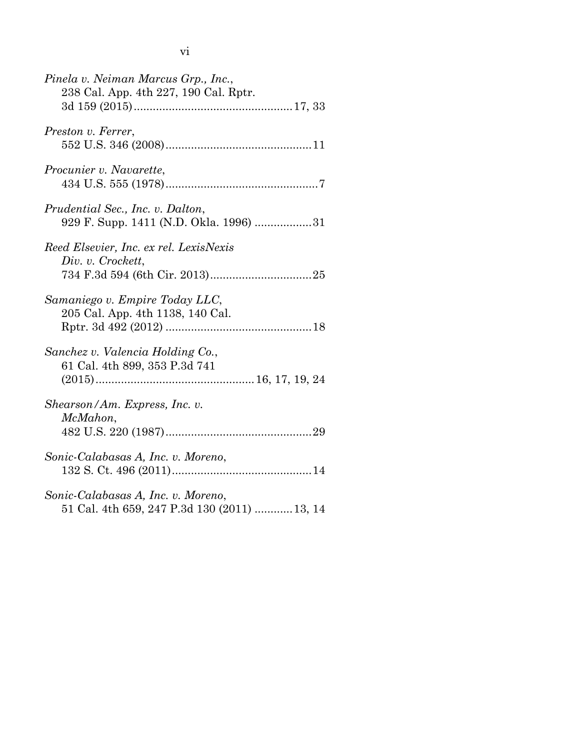| Pinela v. Neiman Marcus Grp., Inc.,<br>238 Cal. App. 4th 227, 190 Cal. Rptr.       |
|------------------------------------------------------------------------------------|
|                                                                                    |
| Preston v. Ferrer,                                                                 |
| Procunier v. Navarette,                                                            |
| Prudential Sec., Inc. v. Dalton,<br>929 F. Supp. 1411 (N.D. Okla. 1996) 31         |
| Reed Elsevier, Inc. ex rel. LexisNexis<br>Div. v. Crockett,                        |
| Samaniego v. Empire Today LLC,<br>205 Cal. App. 4th 1138, 140 Cal.                 |
| Sanchez v. Valencia Holding Co.,<br>61 Cal. 4th 899, 353 P.3d 741                  |
| Shearson/Am. Express, Inc. v.<br>McMahon,                                          |
| Sonic-Calabasas A, Inc. v. Moreno,                                                 |
| Sonic-Calabasas A, Inc. v. Moreno,<br>51 Cal. 4th 659, 247 P.3d 130 (2011)  13, 14 |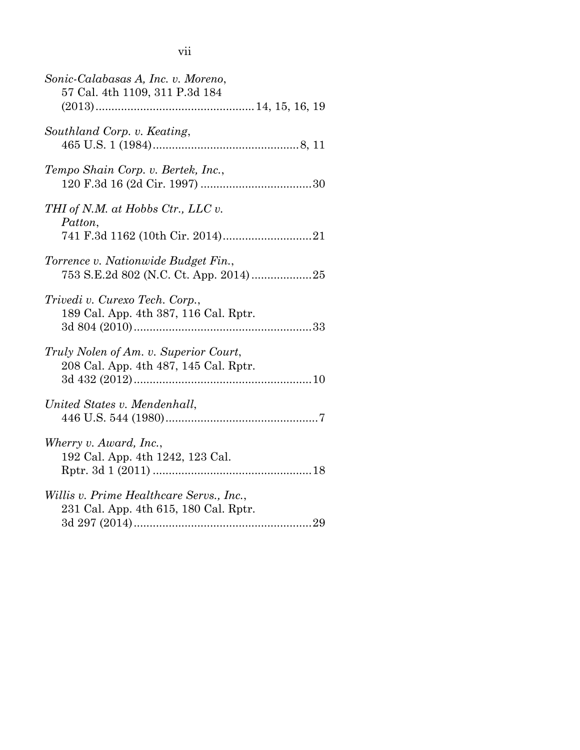vii

| Sonic-Calabasas A, Inc. v. Moreno,<br>57 Cal. 4th 1109, 311 P.3d 184              |
|-----------------------------------------------------------------------------------|
| Southland Corp. v. Keating,                                                       |
| Tempo Shain Corp. v. Bertek, Inc.,                                                |
| THI of N.M. at Hobbs Ctr., LLC v.<br>Patton,                                      |
| Torrence v. Nationwide Budget Fin.,<br>753 S.E.2d 802 (N.C. Ct. App. 2014)25      |
| Trivedi v. Curexo Tech. Corp.,<br>189 Cal. App. 4th 387, 116 Cal. Rptr.           |
| Truly Nolen of Am. v. Superior Court,<br>208 Cal. App. 4th 487, 145 Cal. Rptr.    |
| United States v. Mendenhall,                                                      |
| Wherry v. Award, Inc.,<br>192 Cal. App. 4th 1242, 123 Cal.                        |
| Willis v. Prime Healthcare Servs., Inc.,<br>231 Cal. App. 4th 615, 180 Cal. Rptr. |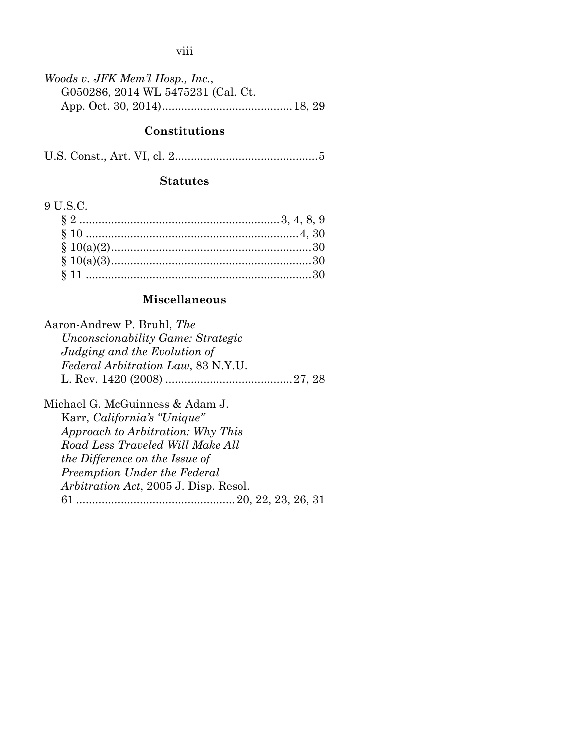viii

| Woods v. JFK Mem'l Hosp., Inc.,    |  |
|------------------------------------|--|
| G050286, 2014 WL 5475231 (Cal. Ct. |  |
|                                    |  |

### **Constitutions**

U.S. Const., Art. VI, cl. 2............................................[.5](#page-14-1)

### **Statutes**

## 9 U.S.C.

## **Miscellaneous**

| Aaron-Andrew P. Bruhl, The                    |  |
|-----------------------------------------------|--|
| Unconscionability Game: Strategic             |  |
| Judging and the Evolution of                  |  |
| <i>Federal Arbitration Law, 83 N.Y.U.</i>     |  |
|                                               |  |
| Michael G. McGuinness & Adam J.               |  |
| Karr, California's "Unique"                   |  |
| Approach to Arbitration: Why This             |  |
| Road Less Traveled Will Make All              |  |
| <i>the Difference on the Issue of</i>         |  |
| Preemption Under the Federal                  |  |
| <i>Arbitration Act</i> , 2005 J. Disp. Resol. |  |
| 61                                            |  |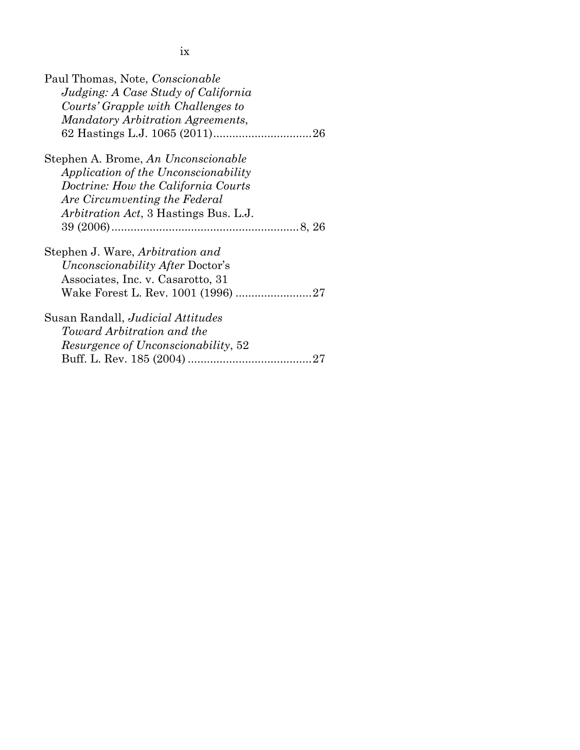| Paul Thomas, Note, Conscionable               |
|-----------------------------------------------|
| Judging: A Case Study of California           |
| Courts' Grapple with Challenges to            |
| Mandatory Arbitration Agreements,             |
|                                               |
| Stephen A. Brome, An Unconscionable           |
| Application of the Unconscionability          |
| Doctrine: How the California Courts           |
| Are Circumventing the Federal                 |
| <i>Arbitration Act</i> , 3 Hastings Bus. L.J. |
|                                               |
| Stephen J. Ware, <i>Arbitration and</i>       |
| <i>Unconscionability After Doctor's</i>       |
| Associates, Inc. v. Casarotto, 31             |
|                                               |
| Susan Randall, <i>Judicial Attitudes</i>      |
| Toward Arbitration and the                    |
| <i>Resurgence of Unconscionability,</i> 52    |
|                                               |
|                                               |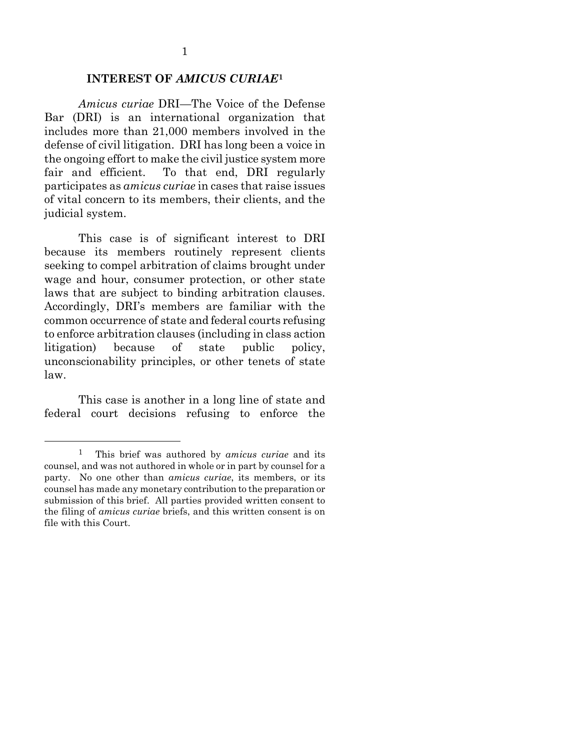#### **INTEREST OF** *AMICUS CURIAE***[1](#page-10-0)**

*Amicus curiae* DRI—The Voice of the Defense Bar (DRI) is an international organization that includes more than 21,000 members involved in the defense of civil litigation. DRI has long been a voice in the ongoing effort to make the civil justice system more fair and efficient. To that end, DRI regularly participates as *amicus curiae* in cases that raise issues of vital concern to its members, their clients, and the judicial system.

This case is of significant interest to DRI because its members routinely represent clients seeking to compel arbitration of claims brought under wage and hour, consumer protection, or other state laws that are subject to binding arbitration clauses. Accordingly, DRI's members are familiar with the common occurrence of state and federal courts refusing to enforce arbitration clauses (including in class action litigation) because of state public policy, unconscionability principles, or other tenets of state law.

This case is another in a long line of state and federal court decisions refusing to enforce the

<span id="page-10-0"></span> <sup>1</sup> This brief was authored by *amicus curiae* and its counsel, and was not authored in whole or in part by counsel for a party. No one other than *amicus curiae*, its members, or its counsel has made any monetary contribution to the preparation or submission of this brief. All parties provided written consent to the filing of *amicus curiae* briefs, and this written consent is on file with this Court.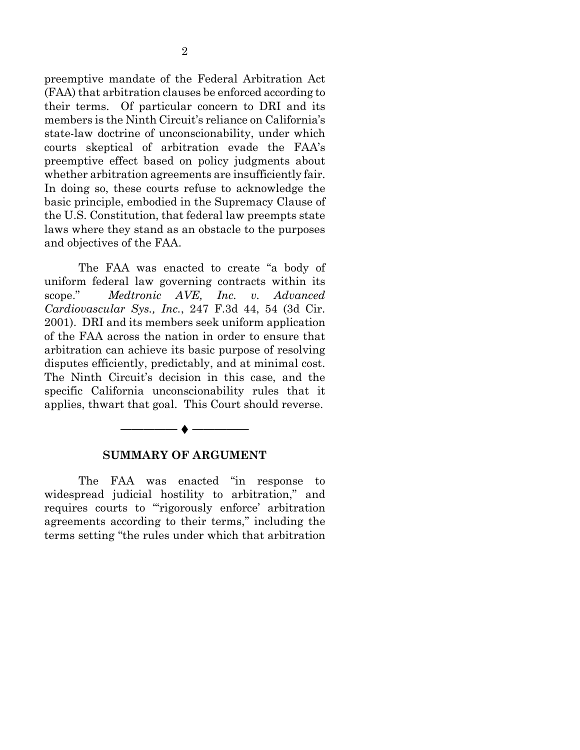preemptive mandate of the Federal Arbitration Act (FAA) that arbitration clauses be enforced according to their terms. Of particular concern to DRI and its members is the Ninth Circuit's reliance on California's state-law doctrine of unconscionability, under which courts skeptical of arbitration evade the FAA's preemptive effect based on policy judgments about whether arbitration agreements are insufficiently fair. In doing so, these courts refuse to acknowledge the basic principle, embodied in the Supremacy Clause of the U.S. Constitution, that federal law preempts state laws where they stand as an obstacle to the purposes and objectives of the FAA.

<span id="page-11-0"></span>The FAA was enacted to create "a body of uniform federal law governing contracts within its scope." *Medtronic AVE, Inc. v. Advanced Cardiovascular Sys., Inc.*, 247 F.3d 44, 54 (3d Cir. 2001). DRI and its members seek uniform application of the FAA across the nation in order to ensure that arbitration can achieve its basic purpose of resolving disputes efficiently, predictably, and at minimal cost. The Ninth Circuit's decision in this case, and the specific California unconscionability rules that it applies, thwart that goal. This Court should reverse.



#### **SUMMARY OF ARGUMENT**

The FAA was enacted "in response to widespread judicial hostility to arbitration," and requires courts to "'rigorously enforce' arbitration agreements according to their terms," including the terms setting "the rules under which that arbitration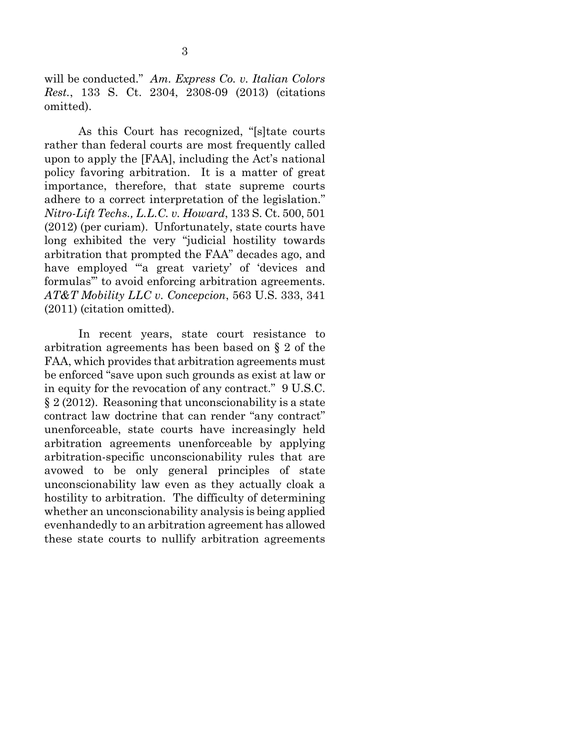<span id="page-12-0"></span>will be conducted." *Am. Express Co. v. Italian Colors Rest.*, 133 S. Ct. 2304, 2308-09 (2013) (citations omitted).

<span id="page-12-2"></span>As this Court has recognized, "[s]tate courts rather than federal courts are most frequently called upon to apply the [FAA], including the Act's national policy favoring arbitration. It is a matter of great importance, therefore, that state supreme courts adhere to a correct interpretation of the legislation." *Nitro-Lift Techs., L.L.C. v. Howard*, 133 S. Ct. 500, 501 (2012) (per curiam). Unfortunately, state courts have long exhibited the very "judicial hostility towards arbitration that prompted the FAA" decades ago, and have employed "a great variety' of 'devices and formulas'" to avoid enforcing arbitration agreements. *AT&T Mobility LLC v. Concepcion*, 563 U.S. 333, 341 (2011) (citation omitted).

<span id="page-12-3"></span><span id="page-12-1"></span>In recent years, state court resistance to arbitration agreements has been based on § 2 of the FAA, which provides that arbitration agreements must be enforced "save upon such grounds as exist at law or in equity for the revocation of any contract." 9 U.S.C. § 2 (2012). Reasoning that unconscionability is a state contract law doctrine that can render "any contract" unenforceable, state courts have increasingly held arbitration agreements unenforceable by applying arbitration-specific unconscionability rules that are avowed to be only general principles of state unconscionability law even as they actually cloak a hostility to arbitration. The difficulty of determining whether an unconscionability analysis is being applied evenhandedly to an arbitration agreement has allowed these state courts to nullify arbitration agreements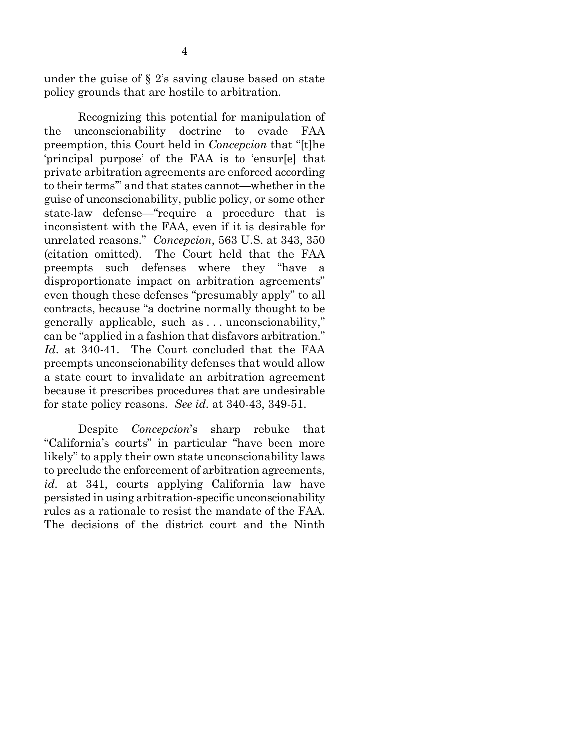<span id="page-13-0"></span>under the guise of  $\S$  2's saving clause based on state policy grounds that are hostile to arbitration.

Recognizing this potential for manipulation of the unconscionability doctrine to evade FAA preemption, this Court held in *Concepcion* that "[t]he 'principal purpose' of the FAA is to 'ensur[e] that private arbitration agreements are enforced according to their terms'" and that states cannot—whether in the guise of unconscionability, public policy, or some other state-law defense—"require a procedure that is inconsistent with the FAA, even if it is desirable for unrelated reasons." *Concepcion*, 563 U.S. at 343, 350 (citation omitted). The Court held that the FAA preempts such defenses where they "have a disproportionate impact on arbitration agreements" even though these defenses "presumably apply" to all contracts, because "a doctrine normally thought to be generally applicable, such as . . . unconscionability," can be "applied in a fashion that disfavors arbitration." *Id*. at 340-41. The Court concluded that the FAA preempts unconscionability defenses that would allow a state court to invalidate an arbitration agreement because it prescribes procedures that are undesirable for state policy reasons. *See id.* at 340-43, 349-51.

Despite *Concepcion*'s sharp rebuke that "California's courts" in particular "have been more likely" to apply their own state unconscionability laws to preclude the enforcement of arbitration agreements, *id.* at 341, courts applying California law have persisted in using arbitration-specific unconscionability rules as a rationale to resist the mandate of the FAA. The decisions of the district court and the Ninth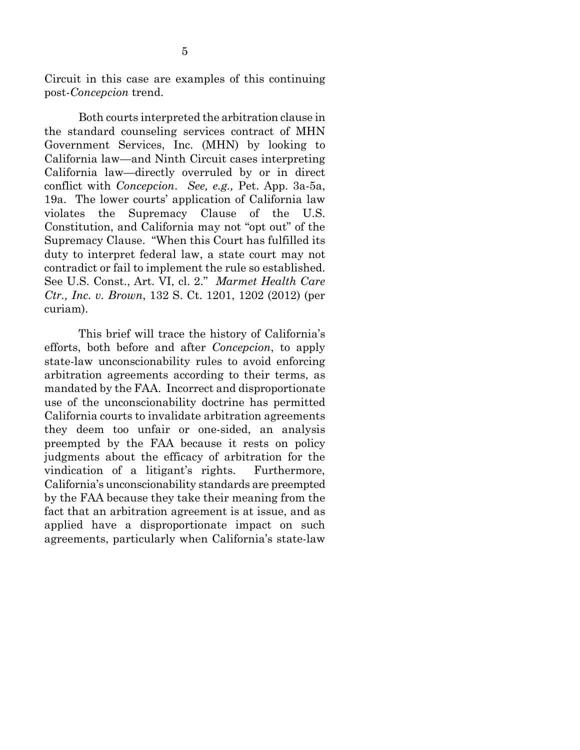Circuit in this case are examples of this continuing post-*Concepcion* trend.

Both courts interpreted the arbitration clause in the standard counseling services contract of MHN Government Services, Inc. (MHN) by looking to California law—and Ninth Circuit cases interpreting California law—directly overruled by or in direct conflict with *Concepcion*. *See, e.g.,* Pet. App. 3a-5a, 19a. The lower courts' application of California law violates the Supremacy Clause of the U.S. Constitution, and California may not "opt out" of the Supremacy Clause. "When this Court has fulfilled its duty to interpret federal law, a state court may not contradict or fail to implement the rule so established. See U.S. Const., Art. VI, cl. 2." *Marmet Health Care Ctr., Inc. v. Brown*, 132 S. Ct. 1201, 1202 (2012) (per curiam).

<span id="page-14-1"></span><span id="page-14-0"></span>This brief will trace the history of California's efforts, both before and after *Concepcion*, to apply state-law unconscionability rules to avoid enforcing arbitration agreements according to their terms, as mandated by the FAA. Incorrect and disproportionate use of the unconscionability doctrine has permitted California courts to invalidate arbitration agreements they deem too unfair or one-sided, an analysis preempted by the FAA because it rests on policy judgments about the efficacy of arbitration for the vindication of a litigant's rights. Furthermore, California's unconscionability standards are preempted by the FAA because they take their meaning from the fact that an arbitration agreement is at issue, and as applied have a disproportionate impact on such agreements, particularly when California's state-law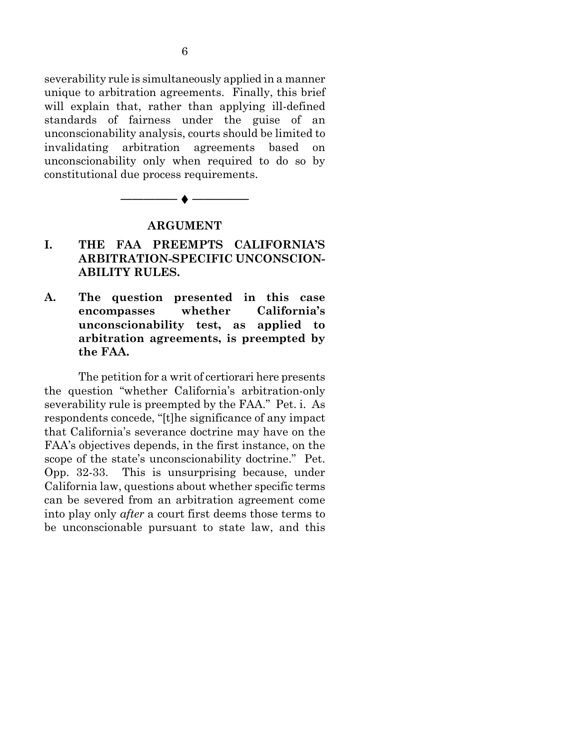severability rule is simultaneously applied in a manner unique to arbitration agreements. Finally, this brief will explain that, rather than applying ill-defined standards of fairness under the guise of an unconscionability analysis, courts should be limited to invalidating arbitration agreements based on unconscionability only when required to do so by constitutional due process requirements.



#### **ARGUMENT**

- **I. THE FAA PREEMPTS CALIFORNIA'S ARBITRATION-SPECIFIC UNCONSCION-ABILITY RULES.**
- **A. The question presented in this case encompasses whether California's unconscionability test, as applied to arbitration agreements, is preempted by the FAA.**

The petition for a writ of certiorari here presents the question "whether California's arbitration-only severability rule is preempted by the FAA." Pet. i. As respondents concede, "[t]he significance of any impact that California's severance doctrine may have on the FAA's objectives depends, in the first instance, on the scope of the state's unconscionability doctrine." Pet. Opp. 32-33. This is unsurprising because, under California law, questions about whether specific terms can be severed from an arbitration agreement come into play only *after* a court first deems those terms to be unconscionable pursuant to state law, and this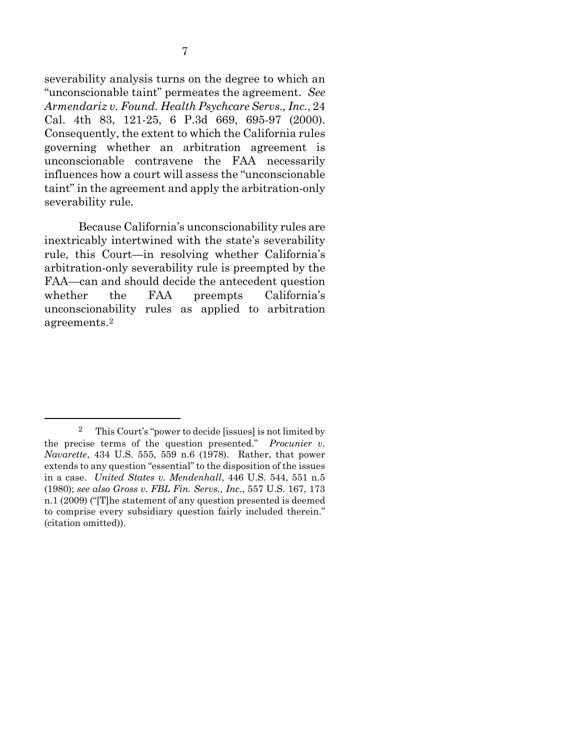<span id="page-16-0"></span>severability analysis turns on the degree to which an "unconscionable taint" permeates the agreement. *See Armendariz v. Found. Health Psychcare Servs., Inc.*, 24 Cal. 4th 83, 121-25, 6 P.3d 669, 695-97 (2000). Consequently, the extent to which the California rules governing whether an arbitration agreement is unconscionable contravene the FAA necessarily influences how a court will assess the "unconscionable taint" in the agreement and apply the arbitration-only severability rule.

Because California's unconscionability rules are inextricably intertwined with the state's severability rule, this Court—in resolving whether California's arbitration-only severability rule is preempted by the FAA—can and should decide the antecedent question whether the FAA preempts California's unconscionability rules as applied to arbitration agreements.[2](#page-16-4)

<span id="page-16-4"></span><span id="page-16-3"></span><span id="page-16-2"></span><span id="page-16-1"></span> <sup>2</sup> This Court's "power to decide [issues] is not limited by the precise terms of the question presented." *Procunier v. Navarette*, 434 U.S. 555, 559 n.6 (1978). Rather, that power extends to any question "essential" to the disposition of the issues in a case. *United States v. Mendenhall*, 446 U.S. 544, 551 n.5 (1980); *see also Gross v. FBL Fin. Servs., Inc.*, 557 U.S. 167, 173 n.1 (2009) ("[T]he statement of any question presented is deemed to comprise every subsidiary question fairly included therein." (citation omitted)).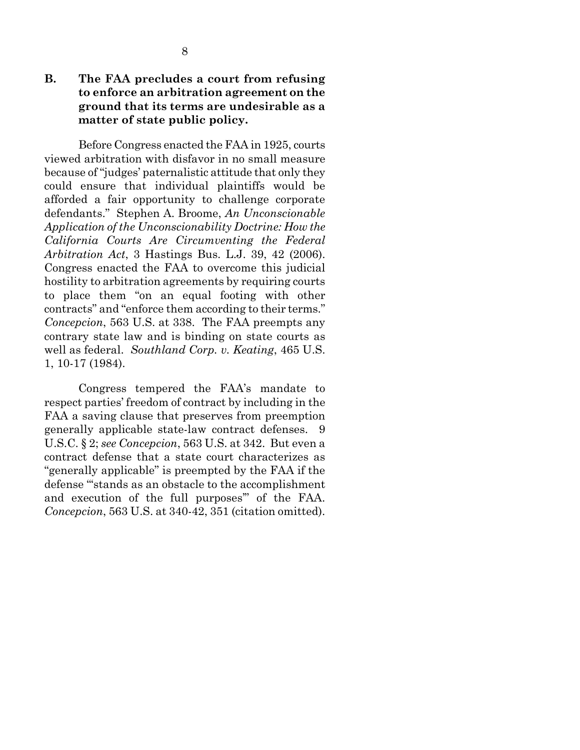#### **B. The FAA precludes a court from refusing to enforce an arbitration agreement on the ground that its terms are undesirable as a matter of state public policy.**

<span id="page-17-2"></span>Before Congress enacted the FAA in 1925, courts viewed arbitration with disfavor in no small measure because of "judges' paternalistic attitude that only they could ensure that individual plaintiffs would be afforded a fair opportunity to challenge corporate defendants." Stephen A. Broome, *An Unconscionable Application of the Unconscionability Doctrine: How the California Courts Are Circumventing the Federal Arbitration Act*, 3 Hastings Bus. L.J. 39, 42 (2006). Congress enacted the FAA to overcome this judicial hostility to arbitration agreements by requiring courts to place them "on an equal footing with other contracts" and "enforce them according to their terms." *Concepcion*, 563 U.S. at 338. The FAA preempts any contrary state law and is binding on state courts as well as federal. *Southland Corp. v. Keating*, 465 U.S. 1, 10-17 (1984).

<span id="page-17-1"></span><span id="page-17-0"></span>Congress tempered the FAA's mandate to respect parties' freedom of contract by including in the FAA a saving clause that preserves from preemption generally applicable state-law contract defenses. 9 U.S.C. § 2; *see Concepcion*, 563 U.S. at 342. But even a contract defense that a state court characterizes as "generally applicable" is preempted by the FAA if the defense "'stands as an obstacle to the accomplishment and execution of the full purposes'" of the FAA. *Concepcion*, 563 U.S. at 340-42, 351 (citation omitted).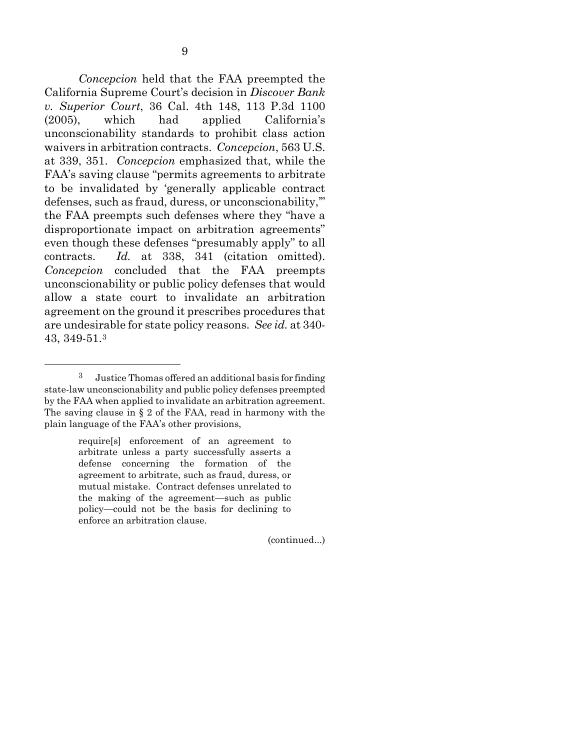<span id="page-18-0"></span>*Concepcion* held that the FAA preempted the California Supreme Court's decision in *Discover Bank v. Superior Court*, 36 Cal. 4th 148, 113 P.3d 1100 (2005), which had applied California's unconscionability standards to prohibit class action waivers in arbitration contracts. *Concepcion*, 563 U.S. at 339, 351. *Concepcion* emphasized that, while the FAA's saving clause "permits agreements to arbitrate

to be invalidated by 'generally applicable contract defenses, such as fraud, duress, or unconscionability,'" the FAA preempts such defenses where they "have a disproportionate impact on arbitration agreements" even though these defenses "presumably apply" to all contracts. *Id.* at 338, 341 (citation omitted). *Concepcion* concluded that the FAA preempts unconscionability or public policy defenses that would allow a state court to invalidate an arbitration agreement on the ground it prescribes procedures that are undesirable for state policy reasons. *See id.* at 340- 43, 349-51.[3](#page-18-2)

<span id="page-18-1"></span>require[s] enforcement of an agreement to arbitrate unless a party successfully asserts a defense concerning the formation of the agreement to arbitrate, such as fraud, duress, or mutual mistake. Contract defenses unrelated to the making of the agreement—such as public policy—could not be the basis for declining to enforce an arbitration clause.

(continued...)

<span id="page-18-2"></span> <sup>3</sup> Justice Thomas offered an additional basis for finding state-law unconscionability and public policy defenses preempted by the FAA when applied to invalidate an arbitration agreement. The saving clause in  $\S 2$  of the FAA, read in harmony with the plain language of the FAA's other provisions,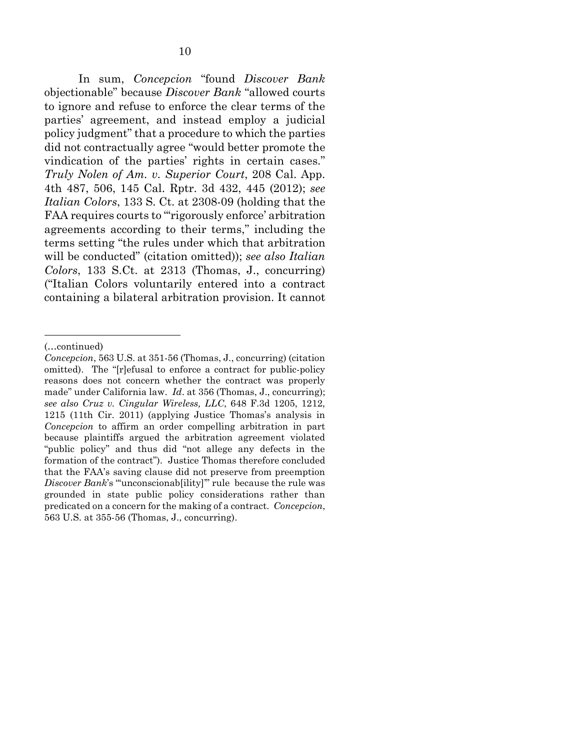<span id="page-19-2"></span><span id="page-19-1"></span>In sum, *Concepcion* "found *Discover Bank* objectionable" because *Discover Bank* "allowed courts to ignore and refuse to enforce the clear terms of the parties' agreement, and instead employ a judicial policy judgment" that a procedure to which the parties did not contractually agree "would better promote the vindication of the parties' rights in certain cases." *Truly Nolen of Am. v. Superior Court*, 208 Cal. App. 4th 487, 506, 145 Cal. Rptr. 3d 432, 445 (2012); *see Italian Colors*, 133 S. Ct. at 2308-09 (holding that the FAA requires courts to "rigorously enforce' arbitration agreements according to their terms," including the terms setting "the rules under which that arbitration will be conducted" (citation omitted)); *see also Italian Colors*, 133 S.Ct. at 2313 (Thomas, J., concurring) ("Italian Colors voluntarily entered into a contract containing a bilateral arbitration provision. It cannot

<u>.</u>

<sup>(…</sup>continued)

<span id="page-19-0"></span>*Concepcion*, 563 U.S. at 351-56 (Thomas, J., concurring) (citation omitted). The "[r]efusal to enforce a contract for public-policy reasons does not concern whether the contract was properly made" under California law. *Id*. at 356 (Thomas, J., concurring); *see also Cruz v. Cingular Wireless, LLC*, 648 F.3d 1205, 1212, 1215 (11th Cir. 2011) (applying Justice Thomas's analysis in *Concepcion* to affirm an order compelling arbitration in part because plaintiffs argued the arbitration agreement violated "public policy" and thus did "not allege any defects in the formation of the contract"). Justice Thomas therefore concluded that the FAA's saving clause did not preserve from preemption *Discover Bank*'s "unconscionab[ility]" rule because the rule was grounded in state public policy considerations rather than predicated on a concern for the making of a contract. *Concepcion*, 563 U.S. at 355-56 (Thomas, J., concurring).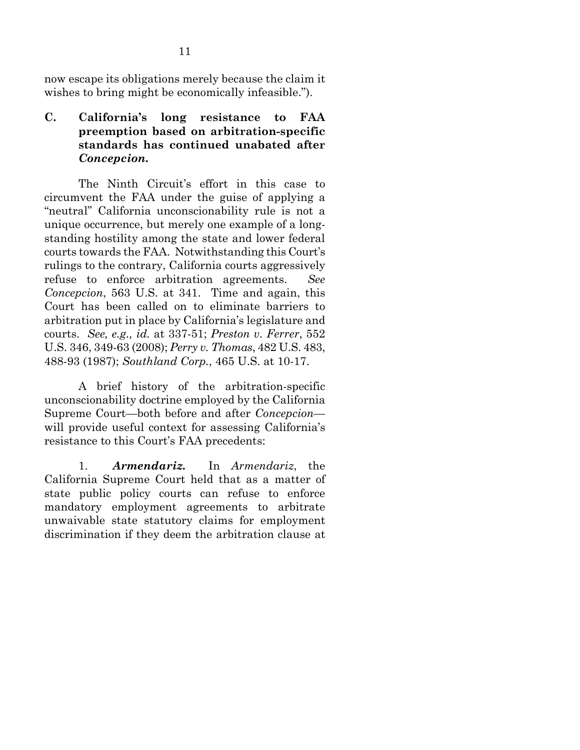now escape its obligations merely because the claim it wishes to bring might be economically infeasible.").

**C. California's long resistance to FAA preemption based on arbitration-specific standards has continued unabated after**  *Concepcion.*

The Ninth Circuit's effort in this case to circumvent the FAA under the guise of applying a "neutral" California unconscionability rule is not a unique occurrence, but merely one example of a longstanding hostility among the state and lower federal courts towards the FAA. Notwithstanding this Court's rulings to the contrary, California courts aggressively refuse to enforce arbitration agreements. *See Concepcion*, 563 U.S. at 341. Time and again, this Court has been called on to eliminate barriers to arbitration put in place by California's legislature and courts. *See, e.g., id.* at 337-51; *Preston v. Ferrer*, 552 U.S. 346, 349-63 (2008); *Perry v. Thomas*, 482 U.S. 483, 488-93 (1987); *Southland Corp.*, 465 U.S. at 10-17.

<span id="page-20-2"></span><span id="page-20-1"></span><span id="page-20-0"></span>A brief history of the arbitration-specific unconscionability doctrine employed by the California Supreme Court—both before and after *Concepcion* will provide useful context for assessing California's resistance to this Court's FAA precedents:

1. *Armendariz.* In *Armendariz*, the California Supreme Court held that as a matter of state public policy courts can refuse to enforce mandatory employment agreements to arbitrate unwaivable state statutory claims for employment discrimination if they deem the arbitration clause at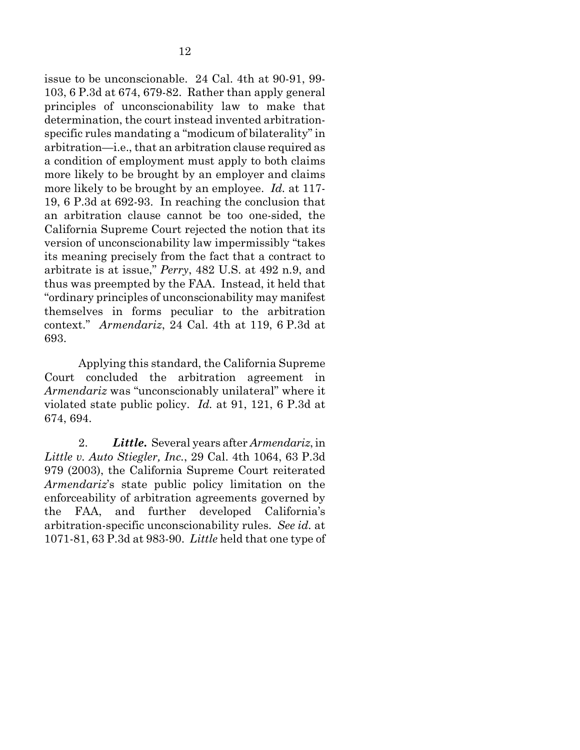issue to be unconscionable. 24 Cal. 4th at 90-91, 99- 103, 6 P.3d at 674, 679-82. Rather than apply general principles of unconscionability law to make that determination, the court instead invented arbitrationspecific rules mandating a "modicum of bilaterality" in arbitration—i.e., that an arbitration clause required as a condition of employment must apply to both claims more likely to be brought by an employer and claims more likely to be brought by an employee. *Id.* at 117- 19, 6 P.3d at 692-93. In reaching the conclusion that an arbitration clause cannot be too one-sided, the California Supreme Court rejected the notion that its version of unconscionability law impermissibly "takes its meaning precisely from the fact that a contract to arbitrate is at issue," *Perry*, 482 U.S. at 492 n.9, and thus was preempted by the FAA. Instead, it held that "ordinary principles of unconscionability may manifest themselves in forms peculiar to the arbitration context." *Armendariz*, 24 Cal. 4th at 119, 6 P.3d at 693.

<span id="page-21-1"></span>Applying this standard, the California Supreme Court concluded the arbitration agreement in *Armendariz* was "unconscionably unilateral" where it violated state public policy. *Id.* at 91, 121, 6 P.3d at 674, 694.

<span id="page-21-0"></span>2. *Little***.** Several years after *Armendariz*, in *Little v. Auto Stiegler, Inc.*, 29 Cal. 4th 1064, 63 P.3d 979 (2003), the California Supreme Court reiterated *Armendariz*'s state public policy limitation on the enforceability of arbitration agreements governed by the FAA, and further developed California's arbitration-specific unconscionability rules. *See id.* at 1071-81, 63 P.3d at 983-90. *Little* held that one type of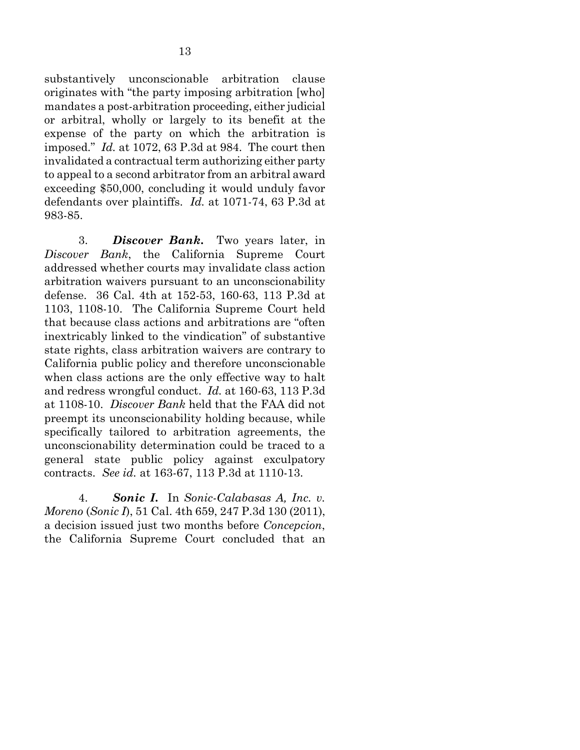<span id="page-22-1"></span>substantively unconscionable arbitration clause originates with "the party imposing arbitration [who] mandates a post-arbitration proceeding, either judicial or arbitral, wholly or largely to its benefit at the expense of the party on which the arbitration is imposed." *Id.* at 1072, 63 P.3d at 984. The court then invalidated a contractual term authorizing either party to appeal to a second arbitrator from an arbitral award exceeding \$50,000, concluding it would unduly favor defendants over plaintiffs. *Id.* at 1071-74, 63 P.3d at 983-85.

<span id="page-22-0"></span>3. *Discover Bank***.** Two years later, in *Discover Bank*, the California Supreme Court addressed whether courts may invalidate class action arbitration waivers pursuant to an unconscionability defense. 36 Cal. 4th at 152-53, 160-63, 113 P.3d at 1103, 1108-10. The California Supreme Court held that because class actions and arbitrations are "often inextricably linked to the vindication" of substantive state rights, class arbitration waivers are contrary to California public policy and therefore unconscionable when class actions are the only effective way to halt and redress wrongful conduct. *Id.* at 160-63, 113 P.3d at 1108-10. *Discover Bank* held that the FAA did not preempt its unconscionability holding because, while specifically tailored to arbitration agreements, the unconscionability determination could be traced to a general state public policy against exculpatory contracts. *See id.* at 163-67, 113 P.3d at 1110-13.

<span id="page-22-2"></span>4. *Sonic I***.** In *Sonic-Calabasas A, Inc. v. Moreno* (*Sonic I*), 51 Cal. 4th 659, 247 P.3d 130 (2011), a decision issued just two months before *Concepcion*, the California Supreme Court concluded that an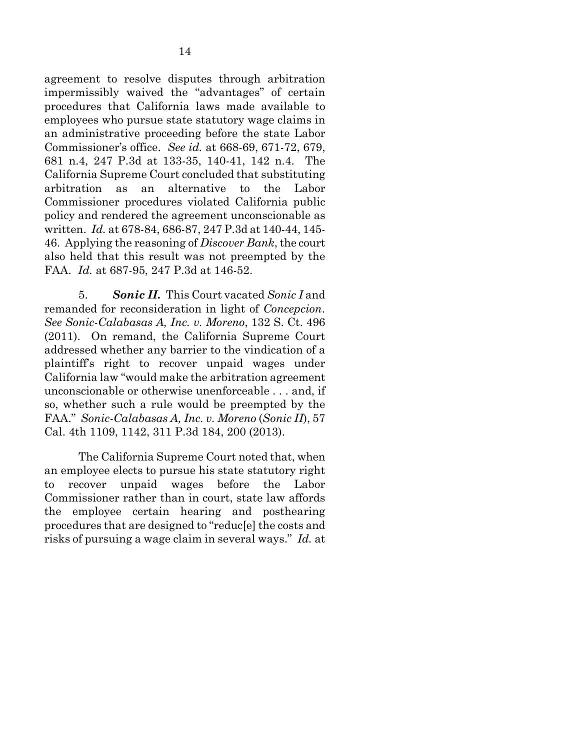<span id="page-23-2"></span>agreement to resolve disputes through arbitration impermissibly waived the "advantages" of certain procedures that California laws made available to employees who pursue state statutory wage claims in an administrative proceeding before the state Labor Commissioner's office. *See id.* at 668-69, 671-72, 679, 681 n.4, 247 P.3d at 133-35, 140-41, 142 n.4. The California Supreme Court concluded that substituting arbitration as an alternative to the Labor Commissioner procedures violated California public policy and rendered the agreement unconscionable as written. *Id.* at 678-84, 686-87, 247 P.3d at 140-44, 145- 46. Applying the reasoning of *Discover Bank*, the court also held that this result was not preempted by the FAA. *Id.* at 687-95, 247 P.3d at 146-52.

<span id="page-23-3"></span><span id="page-23-1"></span><span id="page-23-0"></span>5. *Sonic II.* This Court vacated *Sonic I* and remanded for reconsideration in light of *Concepcion*. *See Sonic-Calabasas A, Inc. v. Moreno*, 132 S. Ct. 496 (2011). On remand, the California Supreme Court addressed whether any barrier to the vindication of a plaintiff's right to recover unpaid wages under California law "would make the arbitration agreement unconscionable or otherwise unenforceable . . . and, if so, whether such a rule would be preempted by the FAA." *Sonic-Calabasas A, Inc. v. Moreno* (*Sonic II*), 57 Cal. 4th 1109, 1142, 311 P.3d 184, 200 (2013).

The California Supreme Court noted that, when an employee elects to pursue his state statutory right to recover unpaid wages before the Labor Commissioner rather than in court, state law affords the employee certain hearing and posthearing procedures that are designed to "reduc[e] the costs and risks of pursuing a wage claim in several ways." *Id.* at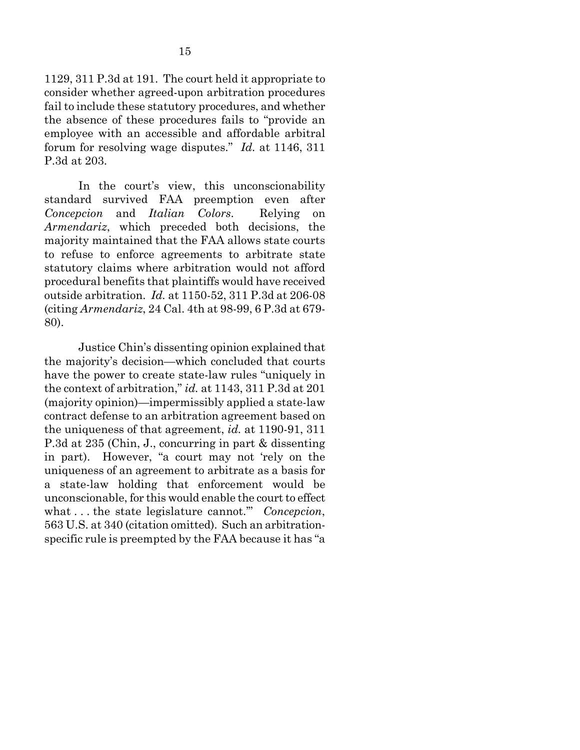1129, 311 P.3d at 191. The court held it appropriate to consider whether agreed-upon arbitration procedures fail to include these statutory procedures, and whether the absence of these procedures fails to "provide an employee with an accessible and affordable arbitral forum for resolving wage disputes." *Id.* at 1146, 311 P.3d at 203.

<span id="page-24-0"></span>In the court's view, this unconscionability standard survived FAA preemption even after *Concepcion* and *Italian Colors*. Relying on *Armendariz*, which preceded both decisions, the majority maintained that the FAA allows state courts to refuse to enforce agreements to arbitrate state statutory claims where arbitration would not afford procedural benefits that plaintiffs would have received outside arbitration. *Id.* at 1150-52, 311 P.3d at 206-08 (citing *Armendariz*, 24 Cal. 4th at 98-99, 6 P.3d at 679- 80).

Justice Chin's dissenting opinion explained that the majority's decision—which concluded that courts have the power to create state-law rules "uniquely in the context of arbitration," *id.* at 1143, 311 P.3d at 201 (majority opinion)—impermissibly applied a state-law contract defense to an arbitration agreement based on the uniqueness of that agreement, *id.* at 1190-91, 311 P.3d at 235 (Chin, J., concurring in part & dissenting in part). However, "a court may not 'rely on the uniqueness of an agreement to arbitrate as a basis for a state-law holding that enforcement would be unconscionable, for this would enable the court to effect what . . . the state legislature cannot.'" *Concepcion*, 563 U.S. at 340 (citation omitted). Such an arbitrationspecific rule is preempted by the FAA because it has "a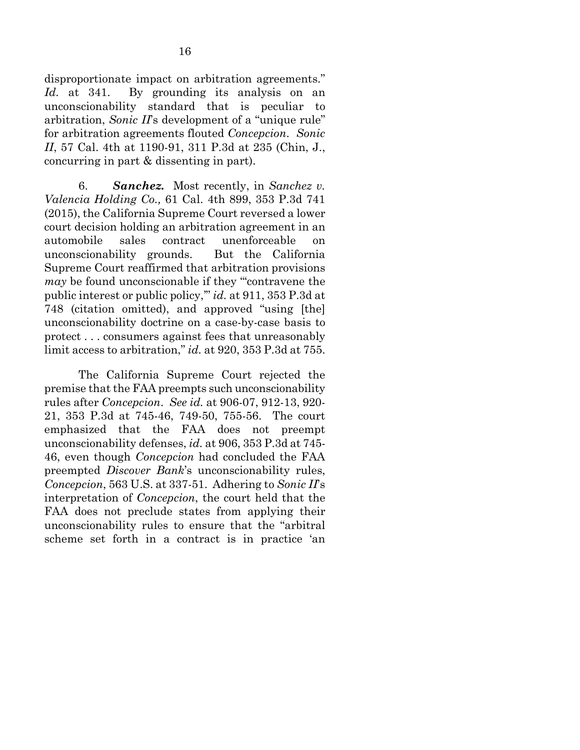disproportionate impact on arbitration agreements." *Id.* at 341. By grounding its analysis on an unconscionability standard that is peculiar to arbitration, *Sonic II*'s development of a "unique rule" for arbitration agreements flouted *Concepcion*. *Sonic II*, 57 Cal. 4th at 1190-91, 311 P.3d at 235 (Chin, J., concurring in part & dissenting in part).

<span id="page-25-1"></span><span id="page-25-0"></span>6. *Sanchez.* Most recently, in *Sanchez v. Valencia Holding Co.,* 61 Cal. 4th 899, 353 P.3d 741 (2015), the California Supreme Court reversed a lower court decision holding an arbitration agreement in an automobile sales contract unenforceable on unconscionability grounds. But the California Supreme Court reaffirmed that arbitration provisions *may* be found unconscionable if they "contravene the public interest or public policy,'" *id.* at 911, 353 P.3d at 748 (citation omitted), and approved "using [the] unconscionability doctrine on a case-by-case basis to protect . . . consumers against fees that unreasonably limit access to arbitration," *id.* at 920, 353 P.3d at 755.

The California Supreme Court rejected the premise that the FAA preempts such unconscionability rules after *Concepcion*. *See id.* at 906-07, 912-13, 920- 21, 353 P.3d at 745-46, 749-50, 755-56. The court emphasized that the FAA does not preempt unconscionability defenses, *id.* at 906, 353 P.3d at 745- 46, even though *Concepcion* had concluded the FAA preempted *Discover Bank*'s unconscionability rules, *Concepcion*, 563 U.S. at 337-51. Adhering to *Sonic II*'s interpretation of *Concepcion*, the court held that the FAA does not preclude states from applying their unconscionability rules to ensure that the "arbitral scheme set forth in a contract is in practice 'an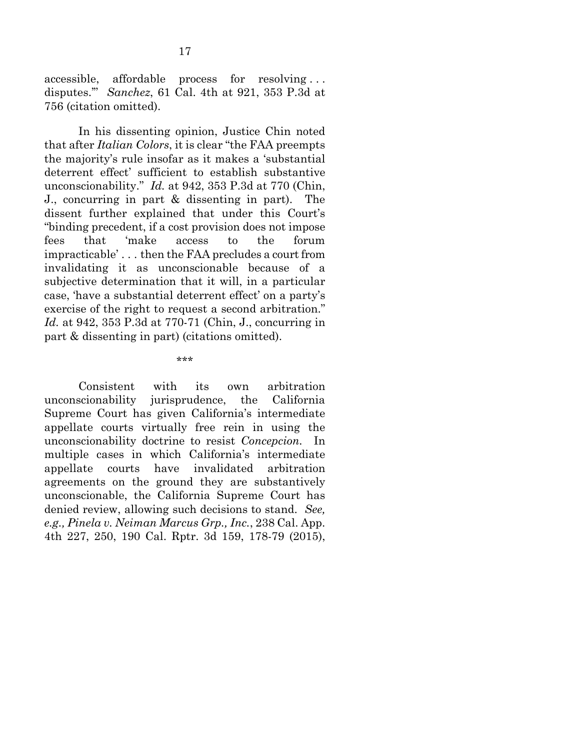<span id="page-26-1"></span>accessible, affordable process for resolving . . . disputes.'" *Sanchez*, 61 Cal. 4th at 921, 353 P.3d at 756 (citation omitted).

In his dissenting opinion, Justice Chin noted that after *Italian Colors*, it is clear "the FAA preempts the majority's rule insofar as it makes a 'substantial deterrent effect' sufficient to establish substantive unconscionability." *Id.* at 942, 353 P.3d at 770 (Chin, J., concurring in part & dissenting in part). The dissent further explained that under this Court's "binding precedent, if a cost provision does not impose fees that 'make access to the forum impracticable' . . . then the FAA precludes a court from invalidating it as unconscionable because of a subjective determination that it will, in a particular case, 'have a substantial deterrent effect' on a party's exercise of the right to request a second arbitration." *Id.* at 942, 353 P.3d at 770-71 (Chin, J., concurring in part & dissenting in part) (citations omitted).

\*\*\*

<span id="page-26-0"></span>Consistent with its own arbitration unconscionability jurisprudence, the California Supreme Court has given California's intermediate appellate courts virtually free rein in using the unconscionability doctrine to resist *Concepcion.* In multiple cases in which California's intermediate appellate courts have invalidated arbitration agreements on the ground they are substantively unconscionable, the California Supreme Court has denied review, allowing such decisions to stand. *See, e.g., Pinela v. Neiman Marcus Grp., Inc.*, 238 Cal. App. 4th 227, 250, 190 Cal. Rptr. 3d 159, 178-79 (2015),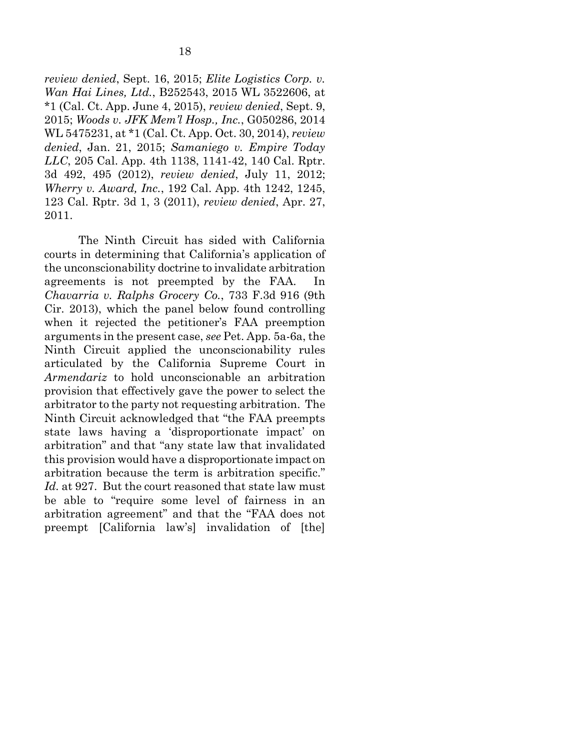<span id="page-27-4"></span><span id="page-27-2"></span><span id="page-27-1"></span>*review denied*, Sept. 16, 2015; *Elite Logistics Corp. v. Wan Hai Lines, Ltd.*, B252543, 2015 WL 3522606, at \*1 (Cal. Ct. App. June 4, 2015), *review denied*, Sept. 9, 2015; *Woods v. JFK Mem'l Hosp., Inc.*, G050286, 2014 WL 5475231, at \*1 (Cal. Ct. App. Oct. 30, 2014), *review denied*, Jan. 21, 2015; *Samaniego v. Empire Today LLC*, 205 Cal. App. 4th 1138, 1141-42, 140 Cal. Rptr. 3d 492, 495 (2012), *review denied*, July 11, 2012; *Wherry v. Award, Inc.*, 192 Cal. App. 4th 1242, 1245, 123 Cal. Rptr. 3d 1, 3 (2011), *review denied*, Apr. 27, 2011.

<span id="page-27-3"></span><span id="page-27-0"></span>The Ninth Circuit has sided with California courts in determining that California's application of the unconscionability doctrine to invalidate arbitration agreements is not preempted by the FAA. In *Chavarria v. Ralphs Grocery Co.*, 733 F.3d 916 (9th Cir. 2013), which the panel below found controlling when it rejected the petitioner's FAA preemption arguments in the present case, *see* Pet. App. 5a-6a, the Ninth Circuit applied the unconscionability rules articulated by the California Supreme Court in *Armendariz* to hold unconscionable an arbitration provision that effectively gave the power to select the arbitrator to the party not requesting arbitration. The Ninth Circuit acknowledged that "the FAA preempts state laws having a 'disproportionate impact' on arbitration" and that "any state law that invalidated this provision would have a disproportionate impact on arbitration because the term is arbitration specific." *Id.* at 927. But the court reasoned that state law must be able to "require some level of fairness in an arbitration agreement" and that the "FAA does not preempt [California law's] invalidation of [the]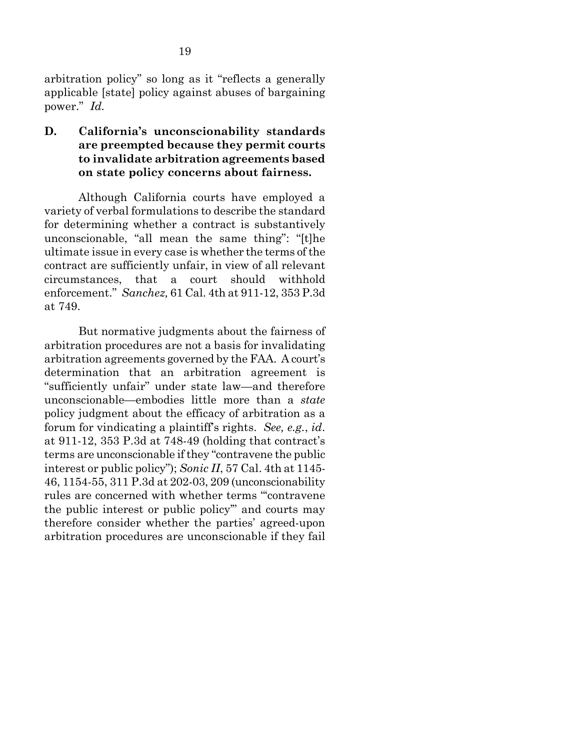<span id="page-28-0"></span>arbitration policy" so long as it "reflects a generally applicable [state] policy against abuses of bargaining power." *Id.*

**D. California's unconscionability standards are preempted because they permit courts to invalidate arbitration agreements based on state policy concerns about fairness.**

Although California courts have employed a variety of verbal formulations to describe the standard for determining whether a contract is substantively unconscionable, "all mean the same thing": "[t]he ultimate issue in every case is whether the terms of the contract are sufficiently unfair, in view of all relevant circumstances, that a court should withhold enforcement." *Sanchez,* 61 Cal. 4th at 911-12, 353 P.3d at 749.

<span id="page-28-2"></span><span id="page-28-1"></span>But normative judgments about the fairness of arbitration procedures are not a basis for invalidating arbitration agreements governed by the FAA. A court's determination that an arbitration agreement is "sufficiently unfair" under state law—and therefore unconscionable—embodies little more than a *state* policy judgment about the efficacy of arbitration as a forum for vindicating a plaintiff's rights. *See, e.g.*, *id*. at 911-12, 353 P.3d at 748-49 (holding that contract's terms are unconscionable if they "contravene the public interest or public policy"); *Sonic II*, 57 Cal. 4th at 1145- 46, 1154-55, 311 P.3d at 202-03, 209 (unconscionability rules are concerned with whether terms "'contravene the public interest or public policy'" and courts may therefore consider whether the parties' agreed-upon arbitration procedures are unconscionable if they fail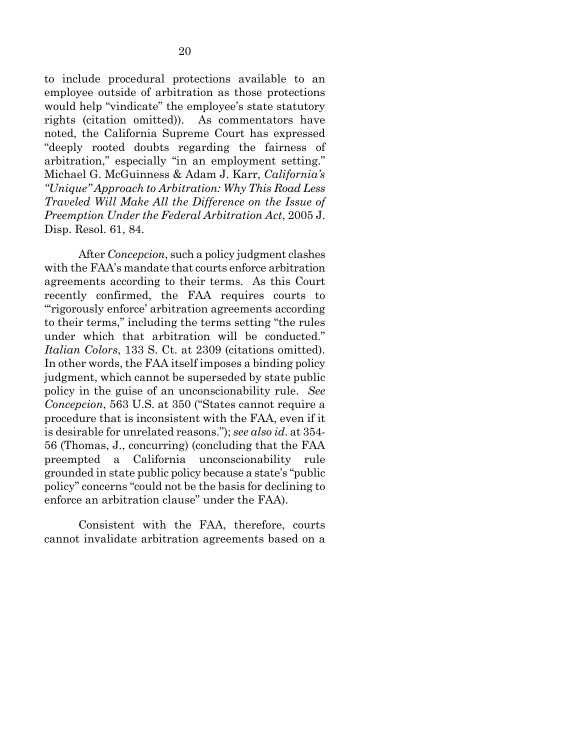to include procedural protections available to an employee outside of arbitration as those protections would help "vindicate" the employee's state statutory rights (citation omitted)). As commentators have noted, the California Supreme Court has expressed "deeply rooted doubts regarding the fairness of arbitration," especially "in an employment setting." Michael G. McGuinness & Adam J. Karr, *California's "Unique" Approach to Arbitration: Why This Road Less Traveled Will Make All the Difference on the Issue of Preemption Under the Federal Arbitration Act*, 2005 J. Disp. Resol. 61, 84.

<span id="page-29-0"></span>After *Concepcion*, such a policy judgment clashes with the FAA's mandate that courts enforce arbitration agreements according to their terms. As this Court recently confirmed, the FAA requires courts to "'rigorously enforce' arbitration agreements according to their terms," including the terms setting "the rules under which that arbitration will be conducted." *Italian Colors*, 133 S. Ct. at 2309 (citations omitted). In other words, the FAA itself imposes a binding policy judgment, which cannot be superseded by state public policy in the guise of an unconscionability rule. *See Concepcion*, 563 U.S. at 350 ("States cannot require a procedure that is inconsistent with the FAA, even if it is desirable for unrelated reasons."); *see also id*. at 354- 56 (Thomas, J., concurring) (concluding that the FAA preempted a California unconscionability rule grounded in state public policy because a state's "public policy" concerns "could not be the basis for declining to enforce an arbitration clause" under the FAA).

Consistent with the FAA, therefore, courts cannot invalidate arbitration agreements based on a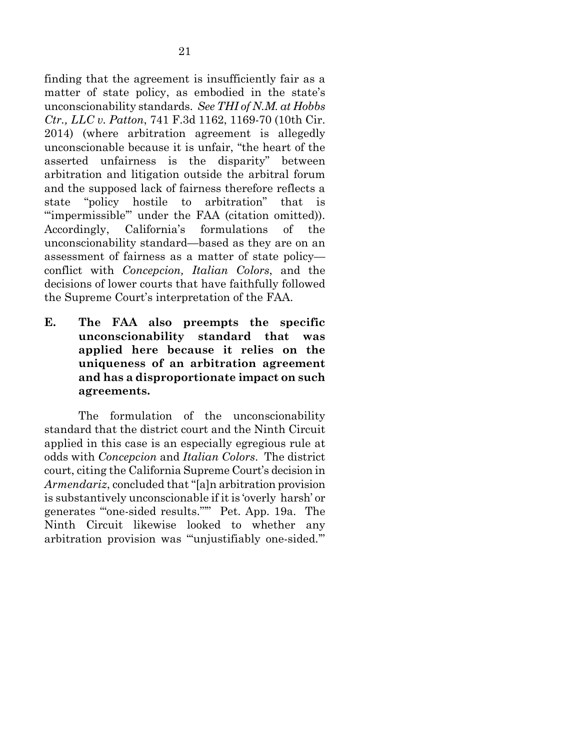<span id="page-30-0"></span>finding that the agreement is insufficiently fair as a matter of state policy, as embodied in the state's unconscionability standards. *See THI of N.M. at Hobbs Ctr., LLC v. Patton*, 741 F.3d 1162, 1169-70 (10th Cir. 2014) (where arbitration agreement is allegedly unconscionable because it is unfair, "the heart of the asserted unfairness is the disparity" between arbitration and litigation outside the arbitral forum and the supposed lack of fairness therefore reflects a state "policy hostile to arbitration" that is "'impermissible'" under the FAA (citation omitted)). Accordingly, California's formulations of the unconscionability standard—based as they are on an assessment of fairness as a matter of state policy conflict with *Concepcion, Italian Colors*, and the decisions of lower courts that have faithfully followed the Supreme Court's interpretation of the FAA.

**E. The FAA also preempts the specific unconscionability standard that was applied here because it relies on the uniqueness of an arbitration agreement and has a disproportionate impact on such agreements.**

The formulation of the unconscionability standard that the district court and the Ninth Circuit applied in this case is an especially egregious rule at odds with *Concepcion* and *Italian Colors*. The district court, citing the California Supreme Court's decision in *Armendariz*, concluded that "[a]n arbitration provision is substantively unconscionable if it is 'overly harsh' or generates '"one-sided results."'" Pet. App. 19a. The Ninth Circuit likewise looked to whether any arbitration provision was "'unjustifiably one-sided.'"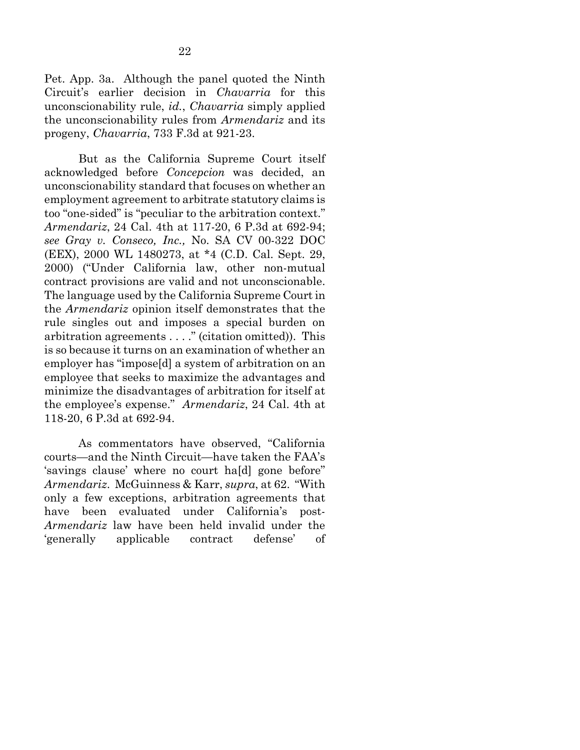<span id="page-31-0"></span>Pet. App. 3a. Although the panel quoted the Ninth Circuit's earlier decision in *Chavarria* for this unconscionability rule, *id.*, *Chavarria* simply applied the unconscionability rules from *Armendariz* and its progeny, *Chavarria*, 733 F.3d at 921-23.

<span id="page-31-1"></span>But as the California Supreme Court itself acknowledged before *Concepcion* was decided, an unconscionability standard that focuses on whether an employment agreement to arbitrate statutory claims is too "one-sided" is "peculiar to the arbitration context." *Armendariz*, 24 Cal. 4th at 117-20, 6 P.3d at 692-94; *see Gray v. Conseco, Inc.,* No. SA CV 00-322 DOC (EEX), 2000 WL 1480273, at \*4 (C.D. Cal. Sept. 29, 2000) ("Under California law, other non-mutual contract provisions are valid and not unconscionable. The language used by the California Supreme Court in the *Armendariz* opinion itself demonstrates that the rule singles out and imposes a special burden on arbitration agreements . . . ." (citation omitted)). This is so because it turns on an examination of whether an employer has "impose[d] a system of arbitration on an employee that seeks to maximize the advantages and minimize the disadvantages of arbitration for itself at the employee's expense." *Armendariz*, 24 Cal. 4th at 118-20, 6 P.3d at 692-94.

As commentators have observed, "California courts—and the Ninth Circuit—have taken the FAA's 'savings clause' where no court ha[d] gone before" *Armendariz*. McGuinness & Karr, *supra*, at 62. "With only a few exceptions, arbitration agreements that have been evaluated under California's post-*Armendariz* law have been held invalid under the 'generally applicable contract defense' of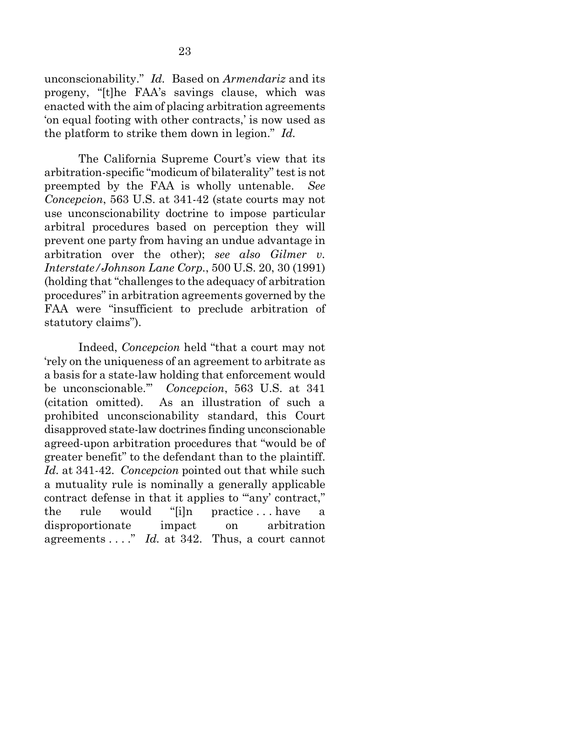unconscionability." *Id.* Based on *Armendariz* and its progeny, "[t]he FAA's savings clause, which was enacted with the aim of placing arbitration agreements 'on equal footing with other contracts,' is now used as the platform to strike them down in legion." *Id.*

<span id="page-32-0"></span>The California Supreme Court's view that its arbitration-specific "modicum of bilaterality"test is not preempted by the FAA is wholly untenable. *See Concepcion*, 563 U.S. at 341-42 (state courts may not use unconscionability doctrine to impose particular arbitral procedures based on perception they will prevent one party from having an undue advantage in arbitration over the other); *see also Gilmer v. Interstate/Johnson Lane Corp.*, 500 U.S. 20, 30 (1991) (holding that "challenges to the adequacy of arbitration procedures" in arbitration agreements governed by the FAA were "insufficient to preclude arbitration of statutory claims").

Indeed, *Concepcion* held "that a court may not 'rely on the uniqueness of an agreement to arbitrate as a basis for a state-law holding that enforcement would be unconscionable.'" *Concepcion*, 563 U.S. at 341 (citation omitted). As an illustration of such a prohibited unconscionability standard, this Court disapproved state-law doctrines finding unconscionable agreed-upon arbitration procedures that "would be of greater benefit" to the defendant than to the plaintiff. *Id.* at 341-42. *Concepcion* pointed out that while such a mutuality rule is nominally a generally applicable contract defense in that it applies to ""any' contract," the rule would "[i]n practice . . . have a disproportionate impact on arbitration agreements . . . ." *Id.* at 342. Thus, a court cannot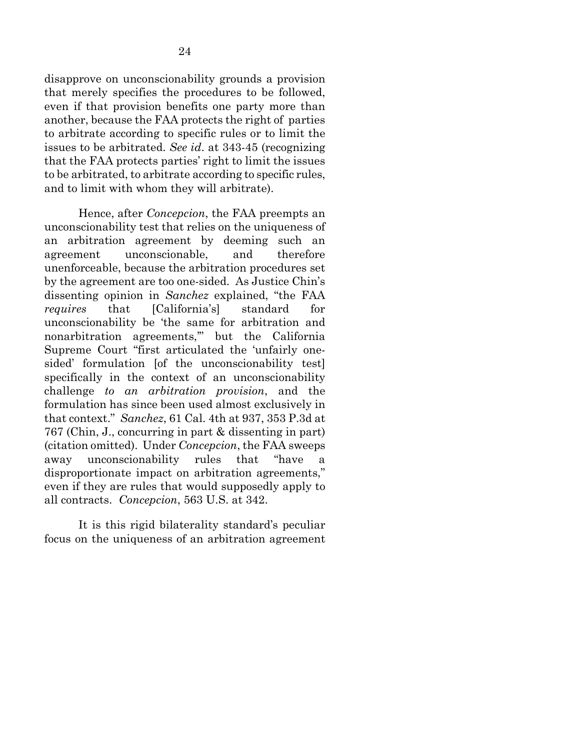disapprove on unconscionability grounds a provision that merely specifies the procedures to be followed, even if that provision benefits one party more than another, because the FAA protects the right of parties to arbitrate according to specific rules or to limit the issues to be arbitrated. *See id*. at 343-45 (recognizing that the FAA protects parties' right to limit the issues to be arbitrated, to arbitrate according to specific rules, and to limit with whom they will arbitrate).

<span id="page-33-0"></span>Hence, after *Concepcion*, the FAA preempts an unconscionability test that relies on the uniqueness of an arbitration agreement by deeming such an agreement unconscionable, and therefore unenforceable, because the arbitration procedures set by the agreement are too one-sided. As Justice Chin's dissenting opinion in *Sanchez* explained, "the FAA *requires* that [California's] standard for unconscionability be 'the same for arbitration and nonarbitration agreements,'" but the California Supreme Court "first articulated the 'unfairly onesided' formulation [of the unconscionability test] specifically in the context of an unconscionability challenge *to an arbitration provision*, and the formulation has since been used almost exclusively in that context." *Sanchez*, 61 Cal. 4th at 937, 353 P.3d at 767 (Chin, J., concurring in part & dissenting in part) (citation omitted). Under *Concepcion*, the FAA sweeps away unconscionability rules that "have a disproportionate impact on arbitration agreements," even if they are rules that would supposedly apply to all contracts. *Concepcion*, 563 U.S. at 342.

It is this rigid bilaterality standard's peculiar focus on the uniqueness of an arbitration agreement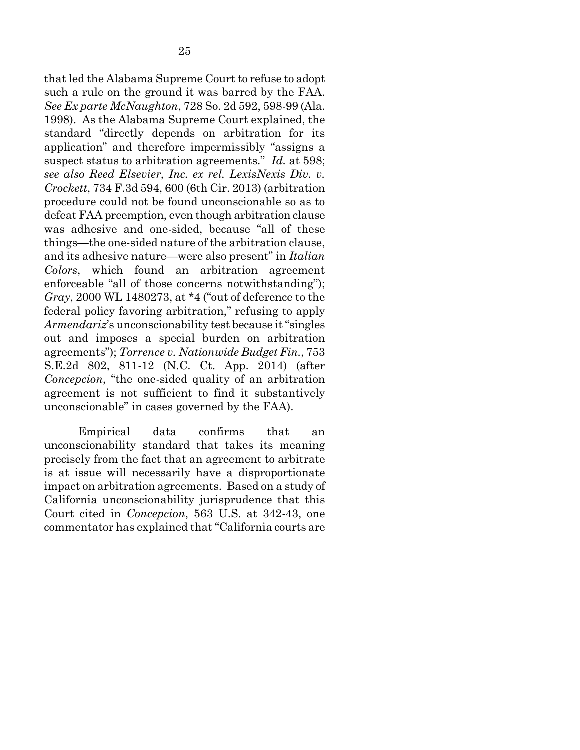<span id="page-34-2"></span><span id="page-34-0"></span>that led the Alabama Supreme Court to refuse to adopt such a rule on the ground it was barred by the FAA. *See Ex parte McNaughton*, 728 So. 2d 592, 598-99 (Ala. 1998). As the Alabama Supreme Court explained, the standard "directly depends on arbitration for its application" and therefore impermissibly "assigns a suspect status to arbitration agreements." *Id.* at 598; *see also Reed Elsevier, Inc. ex rel. LexisNexis Div. v. Crockett*, 734 F.3d 594, 600 (6th Cir. 2013) (arbitration procedure could not be found unconscionable so as to defeat FAA preemption, even though arbitration clause was adhesive and one-sided, because "all of these things—the one-sided nature of the arbitration clause, and its adhesive nature—were also present" in *Italian Colors*, which found an arbitration agreement enforceable "all of those concerns notwithstanding"); *Gray*, 2000 WL 1480273, at \*4 ("out of deference to the federal policy favoring arbitration," refusing to apply *Armendariz*'s unconscionability test because it "singles out and imposes a special burden on arbitration agreements"); *Torrence v. Nationwide Budget Fin.*, 753 S.E.2d 802, 811-12 (N.C. Ct. App. 2014) (after *Concepcion*, "the one-sided quality of an arbitration agreement is not sufficient to find it substantively unconscionable" in cases governed by the FAA).

<span id="page-34-3"></span><span id="page-34-1"></span>Empirical data confirms that an unconscionability standard that takes its meaning precisely from the fact that an agreement to arbitrate is at issue will necessarily have a disproportionate impact on arbitration agreements. Based on a study of California unconscionability jurisprudence that this Court cited in *Concepcion*, 563 U.S. at 342-43, one commentator has explained that "California courts are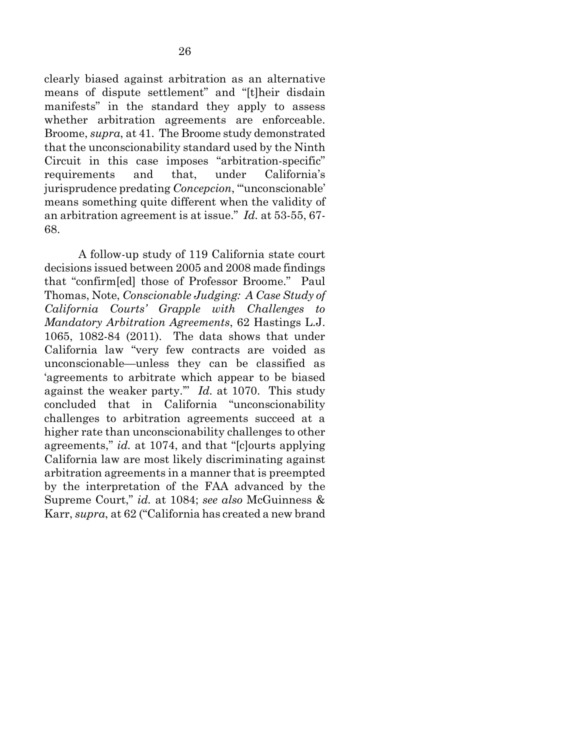clearly biased against arbitration as an alternative means of dispute settlement" and "[t]heir disdain manifests" in the standard they apply to assess whether arbitration agreements are enforceable. Broome, *supra*, at 41. The Broome study demonstrated that the unconscionability standard used by the Ninth Circuit in this case imposes "arbitration-specific" requirements and that, under California's jurisprudence predating *Concepcion*, "'unconscionable' means something quite different when the validity of an arbitration agreement is at issue." *Id.* at 53-55, 67- 68.

<span id="page-35-0"></span>A follow-up study of 119 California state court decisions issued between 2005 and 2008 made findings that "confirm[ed] those of Professor Broome." Paul Thomas, Note, *Conscionable Judging: A Case Study of California Courts' Grapple with Challenges to Mandatory Arbitration Agreements*, 62 Hastings L.J. 1065, 1082-84 (2011). The data shows that under California law "very few contracts are voided as unconscionable—unless they can be classified as 'agreements to arbitrate which appear to be biased against the weaker party.'" *Id.* at 1070. This study concluded that in California "unconscionability challenges to arbitration agreements succeed at a higher rate than unconscionability challenges to other agreements," *id.* at 1074, and that "[c]ourts applying California law are most likely discriminating against arbitration agreements in a manner that is preempted by the interpretation of the FAA advanced by the Supreme Court," *id.* at 1084; *see also* McGuinness & Karr, *supra*, at 62 ("California has created a new brand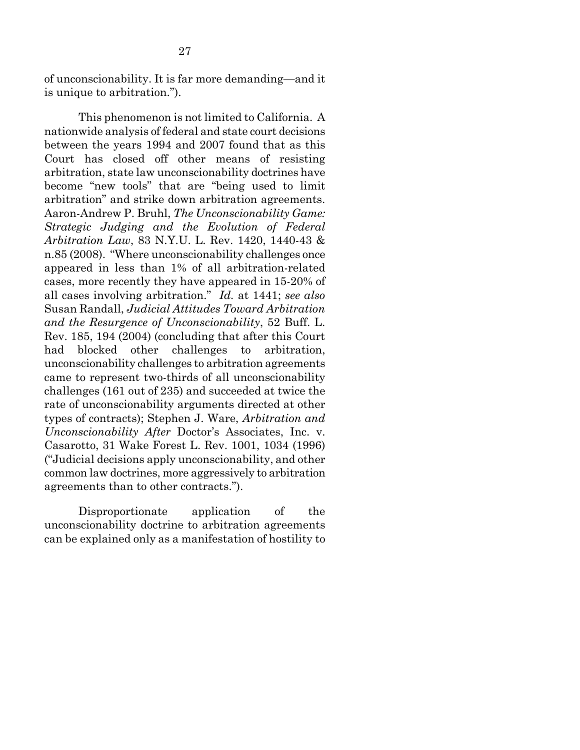of unconscionability. It is far more demanding—and it is unique to arbitration.").

<span id="page-36-2"></span><span id="page-36-0"></span>This phenomenon is not limited to California. A nationwide analysis of federal and state court decisions between the years 1994 and 2007 found that as this Court has closed off other means of resisting arbitration, state law unconscionability doctrines have become "new tools" that are "being used to limit arbitration" and strike down arbitration agreements. Aaron-Andrew P. Bruhl, *The Unconscionability Game: Strategic Judging and the Evolution of Federal Arbitration Law*, 83 N.Y.U. L. Rev. 1420, 1440-43 & n.85 (2008). "Where unconscionability challenges once appeared in less than 1% of all arbitration-related cases, more recently they have appeared in 15-20% of all cases involving arbitration." *Id.* at 1441; *see also* Susan Randall, *Judicial Attitudes Toward Arbitration and the Resurgence of Unconscionability*, 52 Buff. L. Rev. 185, 194 (2004) (concluding that after this Court had blocked other challenges to arbitration, unconscionability challenges to arbitration agreements came to represent two-thirds of all unconscionability challenges (161 out of 235) and succeeded at twice the rate of unconscionability arguments directed at other types of contracts); Stephen J. Ware, *Arbitration and Unconscionability After* Doctor's Associates, Inc. v. Casarotto, 31 Wake Forest L. Rev. 1001, 1034 (1996) ("Judicial decisions apply unconscionability, and other common law doctrines, more aggressively to arbitration agreements than to other contracts.").

<span id="page-36-1"></span>Disproportionate application of the unconscionability doctrine to arbitration agreements can be explained only as a manifestation of hostility to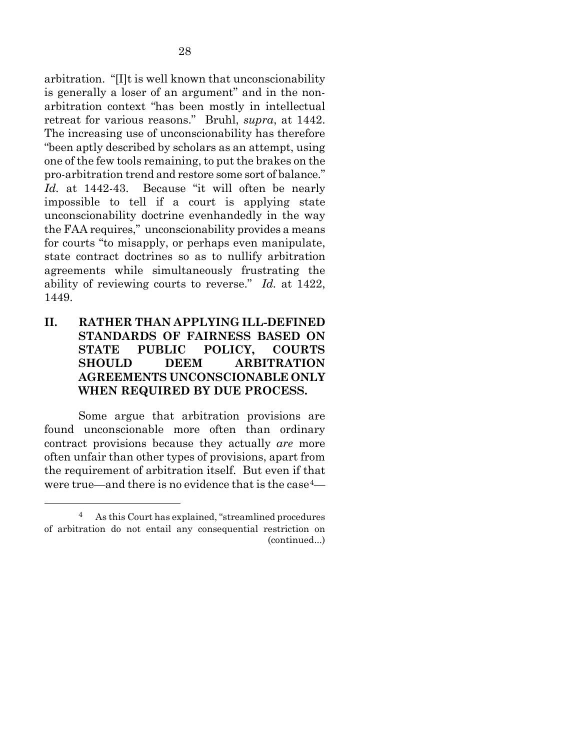arbitration. "[I]t is well known that unconscionability is generally a loser of an argument" and in the nonarbitration context "has been mostly in intellectual retreat for various reasons." Bruhl, *supra*, at 1442. The increasing use of unconscionability has therefore "been aptly described by scholars as an attempt, using one of the few tools remaining, to put the brakes on the pro-arbitration trend and restore some sort of balance." *Id.* at 1442-43. Because "it will often be nearly impossible to tell if a court is applying state unconscionability doctrine evenhandedly in the way the FAA requires," unconscionability provides a means for courts "to misapply, or perhaps even manipulate, state contract doctrines so as to nullify arbitration agreements while simultaneously frustrating the ability of reviewing courts to reverse." *Id.* at 1422, 1449.

### **II. RATHER THAN APPLYING ILL-DEFINED STANDARDS OF FAIRNESS BASED ON STATE PUBLIC POLICY, COURTS SHOULD DEEM ARBITRATION AGREEMENTS UNCONSCIONABLE ONLY WHEN REQUIRED BY DUE PROCESS.**

Some argue that arbitration provisions are found unconscionable more often than ordinary contract provisions because they actually *are* more often unfair than other types of provisions, apart from the requirement of arbitration itself. But even if that were true—and there is no evidence that is the case[4—](#page-37-0)

<span id="page-37-0"></span> <sup>4</sup> As this Court has explained, "streamlined procedures of arbitration do not entail any consequential restriction on (continued...)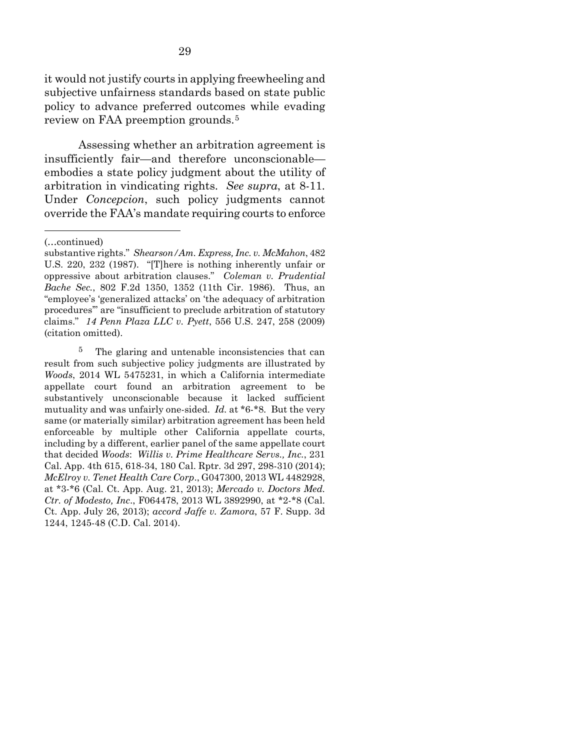it would not justify courts in applying freewheeling and subjective unfairness standards based on state public policy to advance preferred outcomes while evading review on FAA preemption grounds.[5](#page-38-8)

Assessing whether an arbitration agreement is insufficiently fair—and therefore unconscionable embodies a state policy judgment about the utility of arbitration in vindicating rights. *See supra*, at 8-11*.*  Under *Concepcion*, such policy judgments cannot override the FAA's mandate requiring courts to enforce

<u>.</u>

<span id="page-38-8"></span><span id="page-38-7"></span><span id="page-38-6"></span><span id="page-38-4"></span><span id="page-38-3"></span><span id="page-38-2"></span><span id="page-38-0"></span>5 The glaring and untenable inconsistencies that can result from such subjective policy judgments are illustrated by *Woods*, 2014 WL 5475231, in which a California intermediate appellate court found an arbitration agreement to be substantively unconscionable because it lacked sufficient mutuality and was unfairly one-sided. *Id.* at \*6-\*8. But the very same (or materially similar) arbitration agreement has been held enforceable by multiple other California appellate courts, including by a different, earlier panel of the same appellate court that decided *Woods*: *Willis v. Prime Healthcare Servs., Inc.*, 231 Cal. App. 4th 615, 618-34, 180 Cal. Rptr. 3d 297, 298-310 (2014); *McElroy v. Tenet Health Care Corp*., G047300, 2013 WL 4482928, at \*3-\*6 (Cal. Ct. App. Aug. 21, 2013); *Mercado v. Doctors Med. Ctr. of Modesto, Inc*., F064478, 2013 WL 3892990, at \*2-\*8 (Cal. Ct. App. July 26, 2013); *accord Jaffe v. Zamora*, 57 F. Supp. 3d 1244, 1245-48 (C.D. Cal. 2014).

<sup>(…</sup>continued)

<span id="page-38-5"></span><span id="page-38-1"></span>substantive rights." *Shearson/Am. Express, Inc. v. McMahon*, 482 U.S. 220, 232 (1987). "[T]here is nothing inherently unfair or oppressive about arbitration clauses." *Coleman v. Prudential Bache Sec.*, 802 F.2d 1350, 1352 (11th Cir. 1986). Thus, an "employee's 'generalized attacks' on 'the adequacy of arbitration procedures'" are "insufficient to preclude arbitration of statutory claims." *14 Penn Plaza LLC v. Pyett*, 556 U.S. 247, 258 (2009) (citation omitted).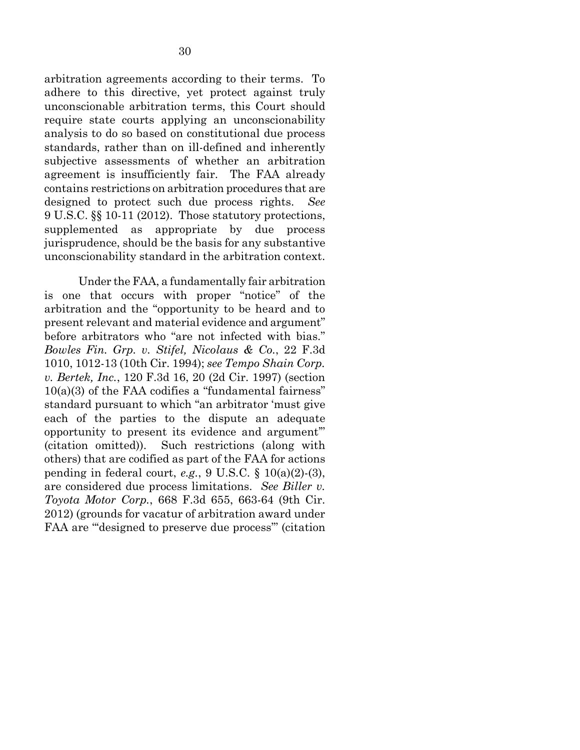arbitration agreements according to their terms. To adhere to this directive, yet protect against truly unconscionable arbitration terms, this Court should require state courts applying an unconscionability analysis to do so based on constitutional due process standards, rather than on ill-defined and inherently subjective assessments of whether an arbitration agreement is insufficiently fair. The FAA already contains restrictions on arbitration procedures that are designed to protect such due process rights. *See* 9 U.S.C. §§ 10-11 (2012). Those statutory protections, supplemented as appropriate by due process jurisprudence, should be the basis for any substantive unconscionability standard in the arbitration context.

<span id="page-39-4"></span><span id="page-39-3"></span><span id="page-39-2"></span><span id="page-39-1"></span><span id="page-39-0"></span>Under the FAA, a fundamentally fair arbitration is one that occurs with proper "notice" of the arbitration and the "opportunity to be heard and to present relevant and material evidence and argument" before arbitrators who "are not infected with bias." *Bowles Fin. Grp. v. Stifel, Nicolaus & Co.*, 22 F.3d 1010, 1012-13 (10th Cir. 1994); *see Tempo Shain Corp. v. Bertek, Inc.*, 120 F.3d 16, 20 (2d Cir. 1997) (section  $10(a)(3)$  of the FAA codifies a "fundamental fairness" standard pursuant to which "an arbitrator 'must give each of the parties to the dispute an adequate opportunity to present its evidence and argument'" (citation omitted)). Such restrictions (along with others) that are codified as part of the FAA for actions pending in federal court, *e.g.*, 9 U.S.C. § 10(a)(2)-(3), are considered due process limitations. *See Biller v. Toyota Motor Corp.*, 668 F.3d 655, 663-64 (9th Cir. 2012) (grounds for vacatur of arbitration award under FAA are "'designed to preserve due process'" (citation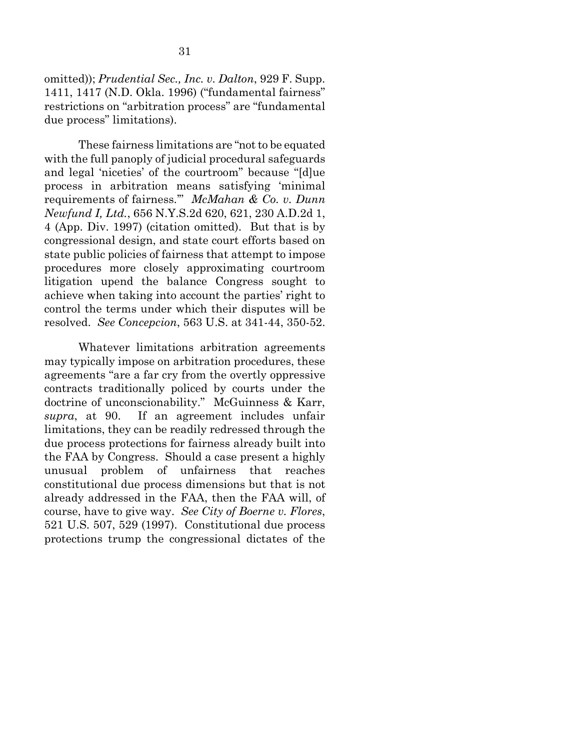<span id="page-40-2"></span>omitted)); *Prudential Sec., Inc. v. Dalton*, 929 F. Supp. 1411, 1417 (N.D. Okla. 1996) ("fundamental fairness" restrictions on "arbitration process" are "fundamental due process" limitations).

<span id="page-40-1"></span>These fairness limitations are "not to be equated with the full panoply of judicial procedural safeguards and legal 'niceties' of the courtroom" because "[d]ue process in arbitration means satisfying 'minimal requirements of fairness.'" *McMahan & Co. v. Dunn Newfund I, Ltd.*, 656 N.Y.S.2d 620, 621, 230 A.D.2d 1, 4 (App. Div. 1997) (citation omitted). But that is by congressional design, and state court efforts based on state public policies of fairness that attempt to impose procedures more closely approximating courtroom litigation upend the balance Congress sought to achieve when taking into account the parties' right to control the terms under which their disputes will be resolved. *See Concepcion*, 563 U.S. at 341-44, 350-52.

<span id="page-40-0"></span>Whatever limitations arbitration agreements may typically impose on arbitration procedures, these agreements "are a far cry from the overtly oppressive contracts traditionally policed by courts under the doctrine of unconscionability." McGuinness & Karr, *supra*, at 90. If an agreement includes unfair limitations, they can be readily redressed through the due process protections for fairness already built into the FAA by Congress. Should a case present a highly unusual problem of unfairness that reaches constitutional due process dimensions but that is not already addressed in the FAA, then the FAA will, of course, have to give way. *See City of Boerne v. Flores*, 521 U.S. 507, 529 (1997). Constitutional due process protections trump the congressional dictates of the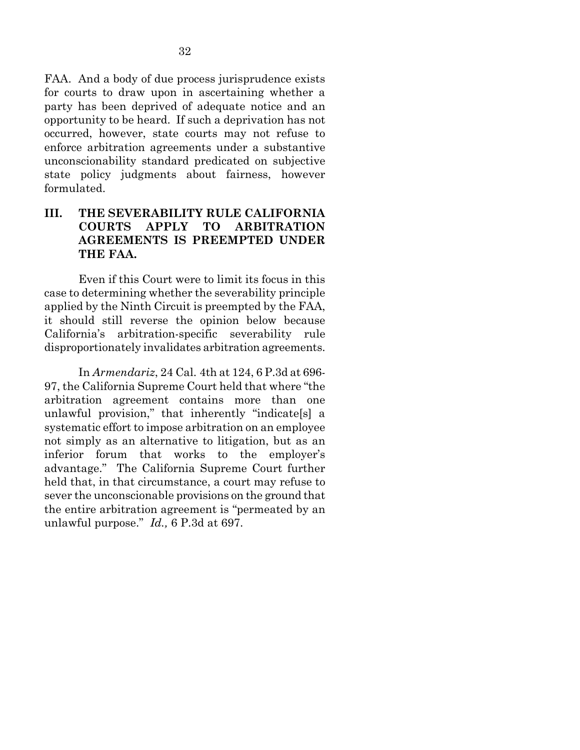FAA. And a body of due process jurisprudence exists for courts to draw upon in ascertaining whether a party has been deprived of adequate notice and an opportunity to be heard. If such a deprivation has not occurred, however, state courts may not refuse to enforce arbitration agreements under a substantive unconscionability standard predicated on subjective state policy judgments about fairness, however formulated.

### **III. THE SEVERABILITY RULE CALIFORNIA COURTS APPLY TO ARBITRATION AGREEMENTS IS PREEMPTED UNDER THE FAA.**

Even if this Court were to limit its focus in this case to determining whether the severability principle applied by the Ninth Circuit is preempted by the FAA, it should still reverse the opinion below because California's arbitration-specific severability rule disproportionately invalidates arbitration agreements.

In *Armendariz*, 24 Cal. 4th at 124, 6 P.3d at 696- 97, the California Supreme Court held that where "the arbitration agreement contains more than one unlawful provision," that inherently "indicate[s] a systematic effort to impose arbitration on an employee not simply as an alternative to litigation, but as an inferior forum that works to the employer's advantage." The California Supreme Court further held that, in that circumstance, a court may refuse to sever the unconscionable provisions on the ground that the entire arbitration agreement is "permeated by an unlawful purpose." *Id.,* 6 P.3d at 697.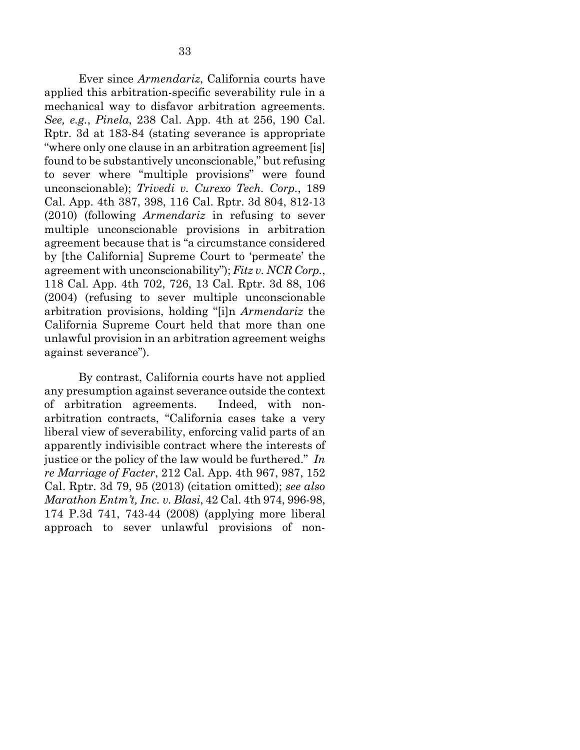<span id="page-42-4"></span><span id="page-42-3"></span>Ever since *Armendariz*, California courts have applied this arbitration-specific severability rule in a mechanical way to disfavor arbitration agreements. *See, e.g.*, *Pinela*, 238 Cal. App. 4th at 256, 190 Cal. Rptr. 3d at 183-84 (stating severance is appropriate "where only one clause in an arbitration agreement [is] found to be substantively unconscionable," but refusing to sever where "multiple provisions" were found unconscionable); *Trivedi v. Curexo Tech. Corp.*, 189 Cal. App. 4th 387, 398, 116 Cal. Rptr. 3d 804, 812-13 (2010) (following *Armendariz* in refusing to sever multiple unconscionable provisions in arbitration agreement because that is "a circumstance considered by [the California] Supreme Court to 'permeate' the agreement with unconscionability"); *Fitz v. NCR Corp.*, 118 Cal. App. 4th 702, 726, 13 Cal. Rptr. 3d 88, 106 (2004) (refusing to sever multiple unconscionable arbitration provisions, holding "[i]n *Armendariz* the California Supreme Court held that more than one unlawful provision in an arbitration agreement weighs against severance").

<span id="page-42-2"></span><span id="page-42-1"></span><span id="page-42-0"></span>By contrast, California courts have not applied any presumption against severance outside the context of arbitration agreements. Indeed, with nonarbitration contracts, "California cases take a very liberal view of severability, enforcing valid parts of an apparently indivisible contract where the interests of justice or the policy of the law would be furthered." *In re Marriage of Facter*, 212 Cal. App. 4th 967, 987, 152 Cal. Rptr. 3d 79, 95 (2013) (citation omitted); *see also Marathon Entm't, Inc. v. Blasi*, 42 Cal. 4th 974, 996-98, 174 P.3d 741, 743-44 (2008) (applying more liberal approach to sever unlawful provisions of non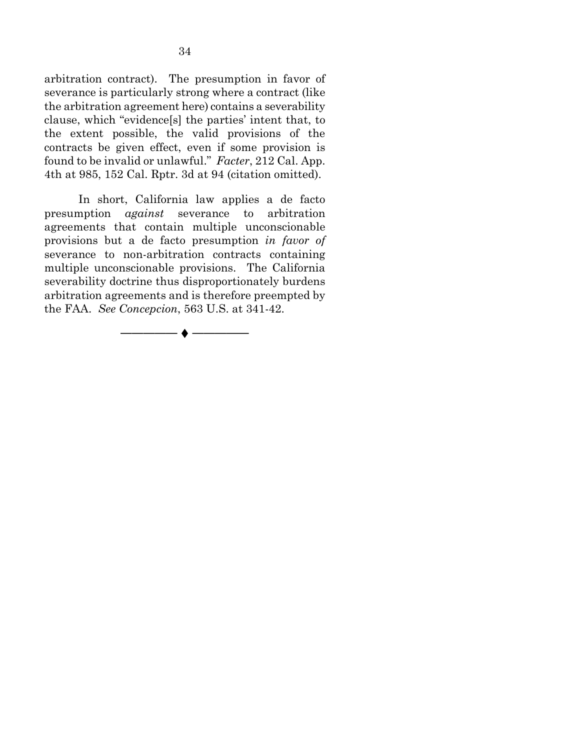arbitration contract). The presumption in favor of severance is particularly strong where a contract (like the arbitration agreement here) contains a severability clause, which "evidence[s] the parties' intent that, to the extent possible, the valid provisions of the contracts be given effect, even if some provision is found to be invalid or unlawful." *Facter*, 212 Cal. App. 4th at 985, 152 Cal. Rptr. 3d at 94 (citation omitted).

<span id="page-43-0"></span>In short, California law applies a de facto presumption *against* severance to arbitration agreements that contain multiple unconscionable provisions but a de facto presumption *in favor of* severance to non-arbitration contracts containing multiple unconscionable provisions. The California severability doctrine thus disproportionately burdens arbitration agreements and is therefore preempted by the FAA. *See Concepcion*, 563 U.S. at 341-42.

───────◆ ──────